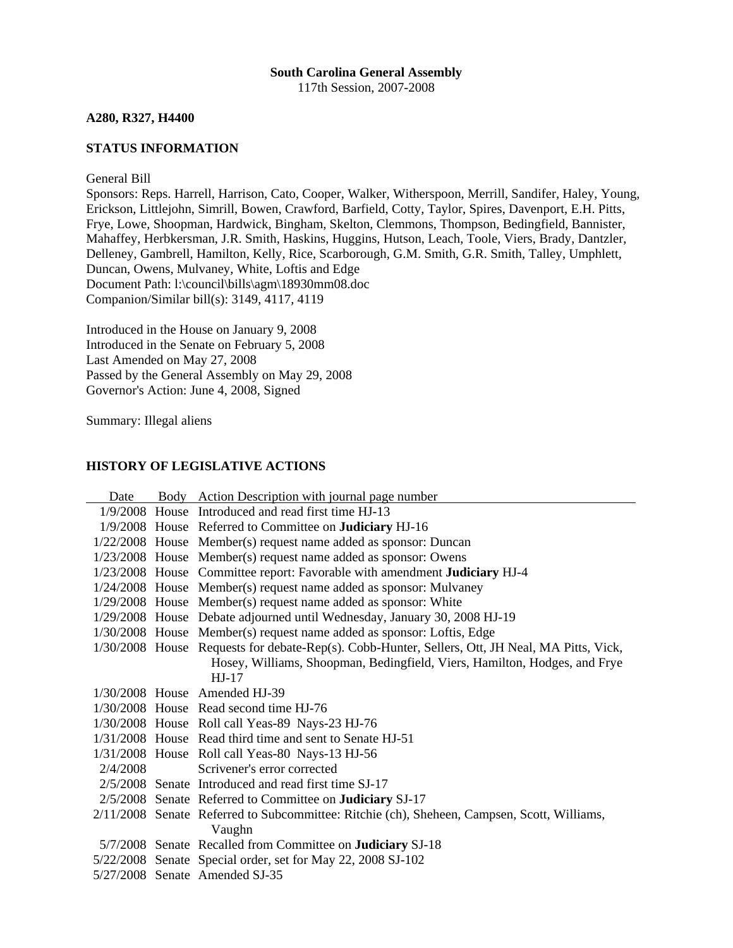### **South Carolina General Assembly** 117th Session, 2007-2008

**A280, R327, H4400** 

# **STATUS INFORMATION**

General Bill

Sponsors: Reps. Harrell, Harrison, Cato, Cooper, Walker, Witherspoon, Merrill, Sandifer, Haley, Young, Erickson, Littlejohn, Simrill, Bowen, Crawford, Barfield, Cotty, Taylor, Spires, Davenport, E.H. Pitts, Frye, Lowe, Shoopman, Hardwick, Bingham, Skelton, Clemmons, Thompson, Bedingfield, Bannister, Mahaffey, Herbkersman, J.R. Smith, Haskins, Huggins, Hutson, Leach, Toole, Viers, Brady, Dantzler, Delleney, Gambrell, Hamilton, Kelly, Rice, Scarborough, G.M. Smith, G.R. Smith, Talley, Umphlett, Duncan, Owens, Mulvaney, White, Loftis and Edge Document Path: l:\council\bills\agm\18930mm08.doc Companion/Similar bill(s): 3149, 4117, 4119

Introduced in the House on January 9, 2008 Introduced in the Senate on February 5, 2008 Last Amended on May 27, 2008 Passed by the General Assembly on May 29, 2008 Governor's Action: June 4, 2008, Signed

Summary: Illegal aliens

## **HISTORY OF LEGISLATIVE ACTIONS**

| Date     | Body Action Description with journal page number                                                |
|----------|-------------------------------------------------------------------------------------------------|
|          | 1/9/2008 House Introduced and read first time HJ-13                                             |
|          | 1/9/2008 House Referred to Committee on <b>Judiciary</b> HJ-16                                  |
|          | $1/22/2008$ House Member(s) request name added as sponsor: Duncan                               |
|          | $1/23/2008$ House Member(s) request name added as sponsor: Owens                                |
|          | 1/23/2008 House Committee report: Favorable with amendment Judiciary HJ-4                       |
|          | 1/24/2008 House Member(s) request name added as sponsor: Mulvaney                               |
|          | $1/29/2008$ House Member(s) request name added as sponsor: White                                |
|          | 1/29/2008 House Debate adjourned until Wednesday, January 30, 2008 HJ-19                        |
|          | 1/30/2008 House Member(s) request name added as sponsor: Loftis, Edge                           |
|          | 1/30/2008 House Requests for debate-Rep(s). Cobb-Hunter, Sellers, Ott, JH Neal, MA Pitts, Vick, |
|          | Hosey, Williams, Shoopman, Bedingfield, Viers, Hamilton, Hodges, and Frye                       |
|          | $HJ-17$                                                                                         |
|          | $1/30/2008$ House Amended HJ-39                                                                 |
|          | 1/30/2008 House Read second time HJ-76                                                          |
|          | 1/30/2008 House Roll call Yeas-89 Nays-23 HJ-76                                                 |
|          | 1/31/2008 House Read third time and sent to Senate HJ-51                                        |
|          | 1/31/2008 House Roll call Yeas-80 Nays-13 HJ-56                                                 |
| 2/4/2008 | Scrivener's error corrected                                                                     |
|          | 2/5/2008 Senate Introduced and read first time SJ-17                                            |
|          | 2/5/2008 Senate Referred to Committee on <b>Judiciary</b> SJ-17                                 |
|          | 2/11/2008 Senate Referred to Subcommittee: Ritchie (ch), Sheheen, Campsen, Scott, Williams,     |
|          | Vaughn                                                                                          |
|          | 5/7/2008 Senate Recalled from Committee on <b>Judiciary</b> SJ-18                               |
|          | 5/22/2008 Senate Special order, set for May 22, 2008 SJ-102                                     |
|          | 5/27/2008 Senate Amended SJ-35                                                                  |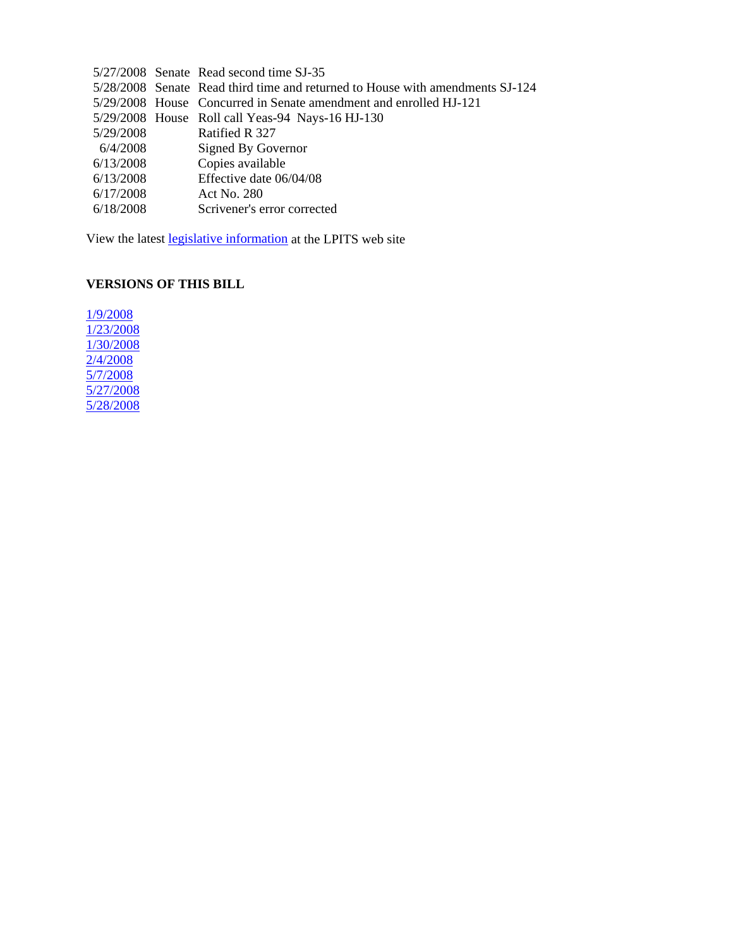|           | 5/27/2008 Senate Read second time SJ-35                                       |
|-----------|-------------------------------------------------------------------------------|
|           | 5/28/2008 Senate Read third time and returned to House with amendments SJ-124 |
|           | 5/29/2008 House Concurred in Senate amendment and enrolled HJ-121             |
|           | 5/29/2008 House Roll call Yeas-94 Nays-16 HJ-130                              |
| 5/29/2008 | Ratified R 327                                                                |
| 6/4/2008  | Signed By Governor                                                            |
| 6/13/2008 | Copies available                                                              |
| 6/13/2008 | Effective date 06/04/08                                                       |
| 6/17/2008 | Act No. 280                                                                   |
| 6/18/2008 | Scrivener's error corrected                                                   |
|           |                                                                               |

View the latest legislative information at the LPITS web site

# **VERSIONS OF THIS BILL**

1/9/2008 1/23/2008 1/30/2008 2/4/2008 5/7/2008 5/27/2008 5/28/2008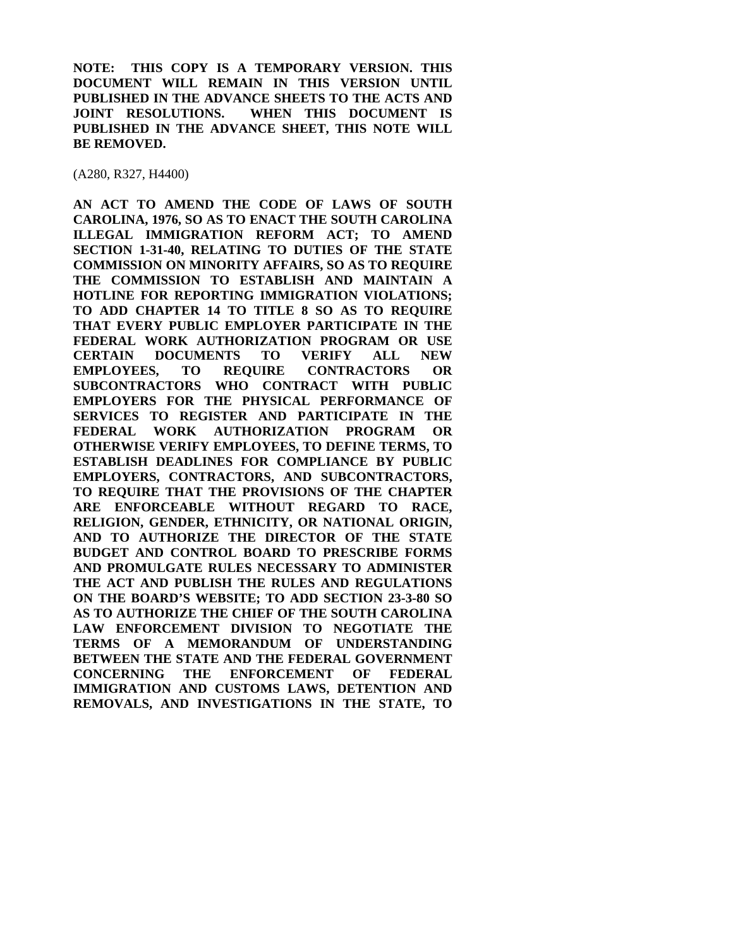**NOTE: THIS COPY IS A TEMPORARY VERSION. THIS DOCUMENT WILL REMAIN IN THIS VERSION UNTIL PUBLISHED IN THE ADVANCE SHEETS TO THE ACTS AND JOINT RESOLUTIONS. WHEN THIS DOCUMENT IS PUBLISHED IN THE ADVANCE SHEET, THIS NOTE WILL BE REMOVED.** 

(A280, R327, H4400)

**AN ACT TO AMEND THE CODE OF LAWS OF SOUTH CAROLINA, 1976, SO AS TO ENACT THE SOUTH CAROLINA ILLEGAL IMMIGRATION REFORM ACT; TO AMEND SECTION 1-31-40, RELATING TO DUTIES OF THE STATE COMMISSION ON MINORITY AFFAIRS, SO AS TO REQUIRE THE COMMISSION TO ESTABLISH AND MAINTAIN A HOTLINE FOR REPORTING IMMIGRATION VIOLATIONS; TO ADD CHAPTER 14 TO TITLE 8 SO AS TO REQUIRE THAT EVERY PUBLIC EMPLOYER PARTICIPATE IN THE FEDERAL WORK AUTHORIZATION PROGRAM OR USE CERTAIN DOCUMENTS TO VERIFY ALL NEW EMPLOYEES, TO REQUIRE CONTRACTORS OR SUBCONTRACTORS WHO CONTRACT WITH PUBLIC EMPLOYERS FOR THE PHYSICAL PERFORMANCE OF SERVICES TO REGISTER AND PARTICIPATE IN THE FEDERAL WORK AUTHORIZATION PROGRAM OR OTHERWISE VERIFY EMPLOYEES, TO DEFINE TERMS, TO ESTABLISH DEADLINES FOR COMPLIANCE BY PUBLIC EMPLOYERS, CONTRACTORS, AND SUBCONTRACTORS, TO REQUIRE THAT THE PROVISIONS OF THE CHAPTER ARE ENFORCEABLE WITHOUT REGARD TO RACE, RELIGION, GENDER, ETHNICITY, OR NATIONAL ORIGIN, AND TO AUTHORIZE THE DIRECTOR OF THE STATE BUDGET AND CONTROL BOARD TO PRESCRIBE FORMS AND PROMULGATE RULES NECESSARY TO ADMINISTER THE ACT AND PUBLISH THE RULES AND REGULATIONS ON THE BOARD'S WEBSITE; TO ADD SECTION 23-3-80 SO AS TO AUTHORIZE THE CHIEF OF THE SOUTH CAROLINA LAW ENFORCEMENT DIVISION TO NEGOTIATE THE TERMS OF A MEMORANDUM OF UNDERSTANDING BETWEEN THE STATE AND THE FEDERAL GOVERNMENT CONCERNING THE ENFORCEMENT OF FEDERAL IMMIGRATION AND CUSTOMS LAWS, DETENTION AND REMOVALS, AND INVESTIGATIONS IN THE STATE, TO**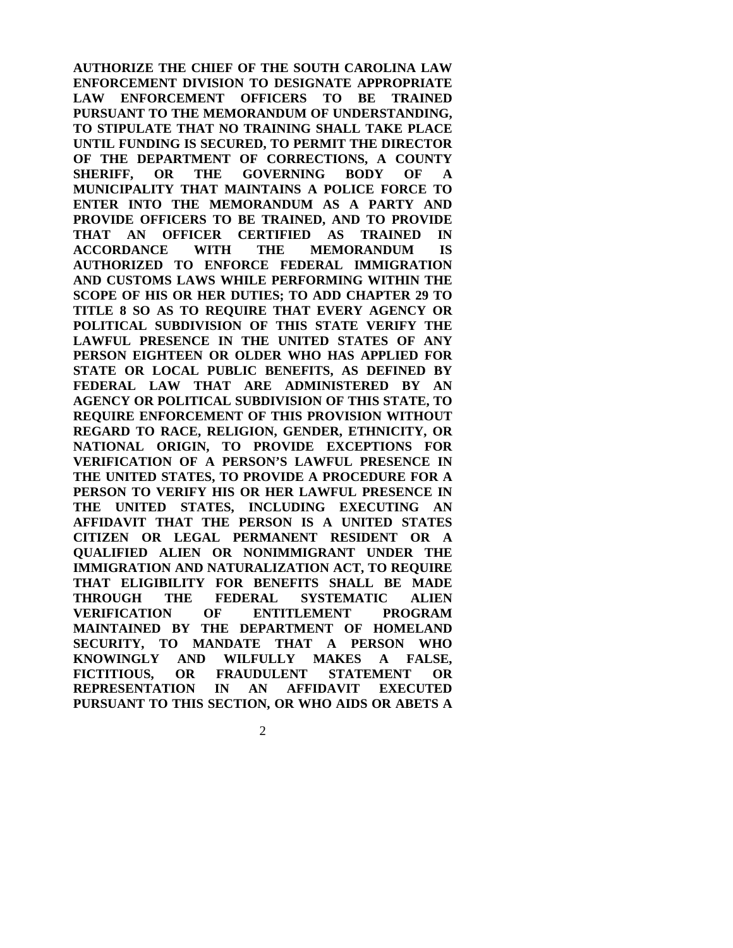**AUTHORIZE THE CHIEF OF THE SOUTH CAROLINA LAW ENFORCEMENT DIVISION TO DESIGNATE APPROPRIATE LAW ENFORCEMENT OFFICERS TO BE TRAINED PURSUANT TO THE MEMORANDUM OF UNDERSTANDING, TO STIPULATE THAT NO TRAINING SHALL TAKE PLACE UNTIL FUNDING IS SECURED, TO PERMIT THE DIRECTOR OF THE DEPARTMENT OF CORRECTIONS, A COUNTY SHERIFF, OR THE GOVERNING BODY OF A MUNICIPALITY THAT MAINTAINS A POLICE FORCE TO ENTER INTO THE MEMORANDUM AS A PARTY AND PROVIDE OFFICERS TO BE TRAINED, AND TO PROVIDE THAT AN OFFICER CERTIFIED AS TRAINED IN ACCORDANCE WITH THE MEMORANDUM IS AUTHORIZED TO ENFORCE FEDERAL IMMIGRATION AND CUSTOMS LAWS WHILE PERFORMING WITHIN THE SCOPE OF HIS OR HER DUTIES; TO ADD CHAPTER 29 TO TITLE 8 SO AS TO REQUIRE THAT EVERY AGENCY OR POLITICAL SUBDIVISION OF THIS STATE VERIFY THE LAWFUL PRESENCE IN THE UNITED STATES OF ANY PERSON EIGHTEEN OR OLDER WHO HAS APPLIED FOR STATE OR LOCAL PUBLIC BENEFITS, AS DEFINED BY FEDERAL LAW THAT ARE ADMINISTERED BY AN AGENCY OR POLITICAL SUBDIVISION OF THIS STATE, TO REQUIRE ENFORCEMENT OF THIS PROVISION WITHOUT REGARD TO RACE, RELIGION, GENDER, ETHNICITY, OR NATIONAL ORIGIN, TO PROVIDE EXCEPTIONS FOR VERIFICATION OF A PERSON'S LAWFUL PRESENCE IN THE UNITED STATES, TO PROVIDE A PROCEDURE FOR A PERSON TO VERIFY HIS OR HER LAWFUL PRESENCE IN THE UNITED STATES, INCLUDING EXECUTING AN AFFIDAVIT THAT THE PERSON IS A UNITED STATES CITIZEN OR LEGAL PERMANENT RESIDENT OR A QUALIFIED ALIEN OR NONIMMIGRANT UNDER THE IMMIGRATION AND NATURALIZATION ACT, TO REQUIRE THAT ELIGIBILITY FOR BENEFITS SHALL BE MADE THROUGH THE FEDERAL SYSTEMATIC ALIEN VERIFICATION OF ENTITLEMENT PROGRAM MAINTAINED BY THE DEPARTMENT OF HOMELAND SECURITY, TO MANDATE THAT A PERSON WHO KNOWINGLY AND WILFULLY MAKES A FALSE, FICTITIOUS, OR FRAUDULENT STATEMENT OR REPRESENTATION IN AN AFFIDAVIT EXECUTED PURSUANT TO THIS SECTION, OR WHO AIDS OR ABETS A**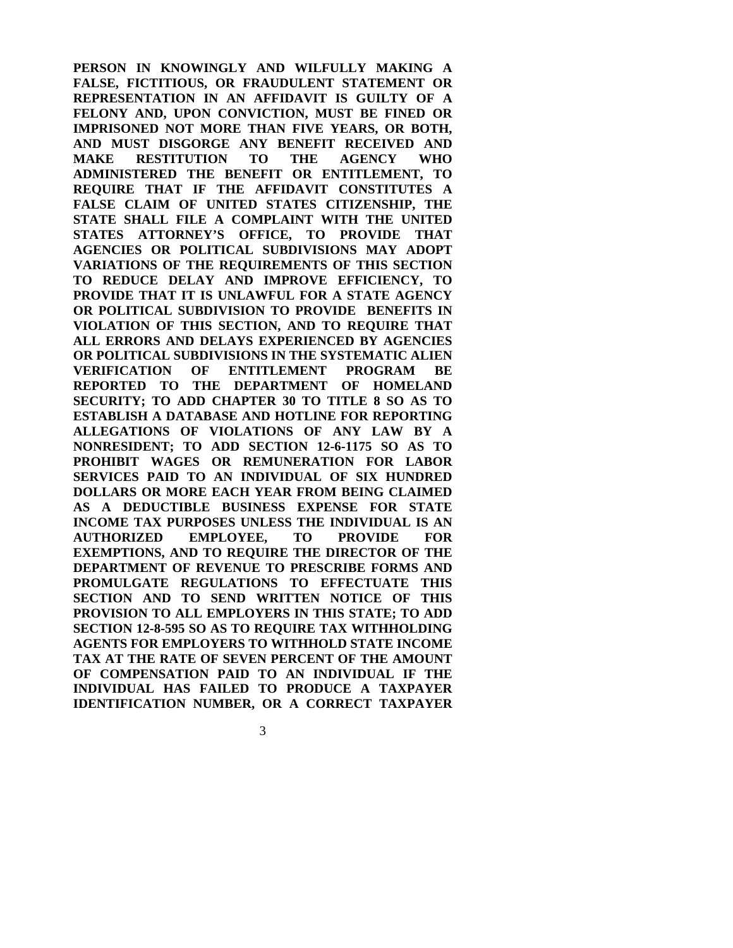**PERSON IN KNOWINGLY AND WILFULLY MAKING A FALSE, FICTITIOUS, OR FRAUDULENT STATEMENT OR REPRESENTATION IN AN AFFIDAVIT IS GUILTY OF A FELONY AND, UPON CONVICTION, MUST BE FINED OR IMPRISONED NOT MORE THAN FIVE YEARS, OR BOTH, AND MUST DISGORGE ANY BENEFIT RECEIVED AND MAKE RESTITUTION TO THE AGENCY WHO ADMINISTERED THE BENEFIT OR ENTITLEMENT, TO REQUIRE THAT IF THE AFFIDAVIT CONSTITUTES A FALSE CLAIM OF UNITED STATES CITIZENSHIP, THE STATE SHALL FILE A COMPLAINT WITH THE UNITED STATES ATTORNEY'S OFFICE, TO PROVIDE THAT AGENCIES OR POLITICAL SUBDIVISIONS MAY ADOPT VARIATIONS OF THE REQUIREMENTS OF THIS SECTION TO REDUCE DELAY AND IMPROVE EFFICIENCY, TO PROVIDE THAT IT IS UNLAWFUL FOR A STATE AGENCY OR POLITICAL SUBDIVISION TO PROVIDE BENEFITS IN VIOLATION OF THIS SECTION, AND TO REQUIRE THAT ALL ERRORS AND DELAYS EXPERIENCED BY AGENCIES OR POLITICAL SUBDIVISIONS IN THE SYSTEMATIC ALIEN VERIFICATION OF ENTITLEMENT PROGRAM BE REPORTED TO THE DEPARTMENT OF HOMELAND SECURITY; TO ADD CHAPTER 30 TO TITLE 8 SO AS TO ESTABLISH A DATABASE AND HOTLINE FOR REPORTING ALLEGATIONS OF VIOLATIONS OF ANY LAW BY A NONRESIDENT; TO ADD SECTION 12-6-1175 SO AS TO PROHIBIT WAGES OR REMUNERATION FOR LABOR SERVICES PAID TO AN INDIVIDUAL OF SIX HUNDRED DOLLARS OR MORE EACH YEAR FROM BEING CLAIMED AS A DEDUCTIBLE BUSINESS EXPENSE FOR STATE INCOME TAX PURPOSES UNLESS THE INDIVIDUAL IS AN AUTHORIZED EMPLOYEE, TO PROVIDE FOR EXEMPTIONS, AND TO REQUIRE THE DIRECTOR OF THE DEPARTMENT OF REVENUE TO PRESCRIBE FORMS AND PROMULGATE REGULATIONS TO EFFECTUATE THIS SECTION AND TO SEND WRITTEN NOTICE OF THIS PROVISION TO ALL EMPLOYERS IN THIS STATE; TO ADD SECTION 12-8-595 SO AS TO REQUIRE TAX WITHHOLDING AGENTS FOR EMPLOYERS TO WITHHOLD STATE INCOME TAX AT THE RATE OF SEVEN PERCENT OF THE AMOUNT OF COMPENSATION PAID TO AN INDIVIDUAL IF THE INDIVIDUAL HAS FAILED TO PRODUCE A TAXPAYER IDENTIFICATION NUMBER, OR A CORRECT TAXPAYER**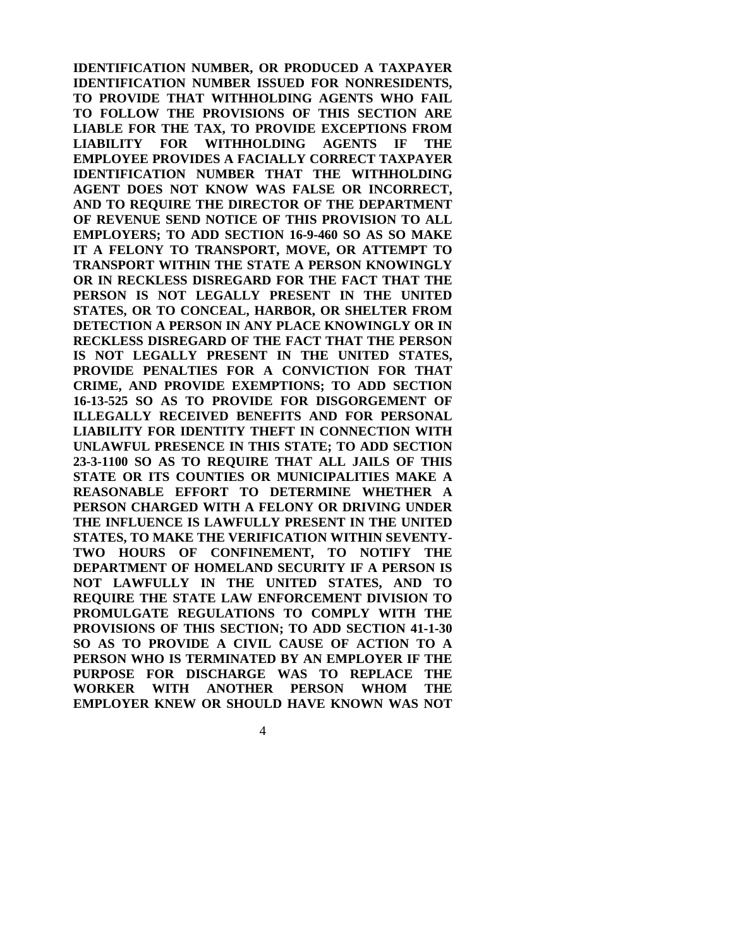**IDENTIFICATION NUMBER, OR PRODUCED A TAXPAYER IDENTIFICATION NUMBER ISSUED FOR NONRESIDENTS, TO PROVIDE THAT WITHHOLDING AGENTS WHO FAIL TO FOLLOW THE PROVISIONS OF THIS SECTION ARE LIABLE FOR THE TAX, TO PROVIDE EXCEPTIONS FROM LIABILITY FOR WITHHOLDING AGENTS IF THE EMPLOYEE PROVIDES A FACIALLY CORRECT TAXPAYER IDENTIFICATION NUMBER THAT THE WITHHOLDING AGENT DOES NOT KNOW WAS FALSE OR INCORRECT, AND TO REQUIRE THE DIRECTOR OF THE DEPARTMENT OF REVENUE SEND NOTICE OF THIS PROVISION TO ALL EMPLOYERS; TO ADD SECTION 16-9-460 SO AS SO MAKE IT A FELONY TO TRANSPORT, MOVE, OR ATTEMPT TO TRANSPORT WITHIN THE STATE A PERSON KNOWINGLY OR IN RECKLESS DISREGARD FOR THE FACT THAT THE PERSON IS NOT LEGALLY PRESENT IN THE UNITED STATES, OR TO CONCEAL, HARBOR, OR SHELTER FROM DETECTION A PERSON IN ANY PLACE KNOWINGLY OR IN RECKLESS DISREGARD OF THE FACT THAT THE PERSON IS NOT LEGALLY PRESENT IN THE UNITED STATES, PROVIDE PENALTIES FOR A CONVICTION FOR THAT CRIME, AND PROVIDE EXEMPTIONS; TO ADD SECTION 16-13-525 SO AS TO PROVIDE FOR DISGORGEMENT OF ILLEGALLY RECEIVED BENEFITS AND FOR PERSONAL LIABILITY FOR IDENTITY THEFT IN CONNECTION WITH UNLAWFUL PRESENCE IN THIS STATE; TO ADD SECTION 23-3-1100 SO AS TO REQUIRE THAT ALL JAILS OF THIS STATE OR ITS COUNTIES OR MUNICIPALITIES MAKE A REASONABLE EFFORT TO DETERMINE WHETHER A PERSON CHARGED WITH A FELONY OR DRIVING UNDER THE INFLUENCE IS LAWFULLY PRESENT IN THE UNITED STATES, TO MAKE THE VERIFICATION WITHIN SEVENTY-TWO HOURS OF CONFINEMENT, TO NOTIFY THE DEPARTMENT OF HOMELAND SECURITY IF A PERSON IS NOT LAWFULLY IN THE UNITED STATES, AND TO REQUIRE THE STATE LAW ENFORCEMENT DIVISION TO PROMULGATE REGULATIONS TO COMPLY WITH THE PROVISIONS OF THIS SECTION; TO ADD SECTION 41-1-30 SO AS TO PROVIDE A CIVIL CAUSE OF ACTION TO A PERSON WHO IS TERMINATED BY AN EMPLOYER IF THE PURPOSE FOR DISCHARGE WAS TO REPLACE THE WORKER WITH ANOTHER PERSON WHOM THE EMPLOYER KNEW OR SHOULD HAVE KNOWN WAS NOT**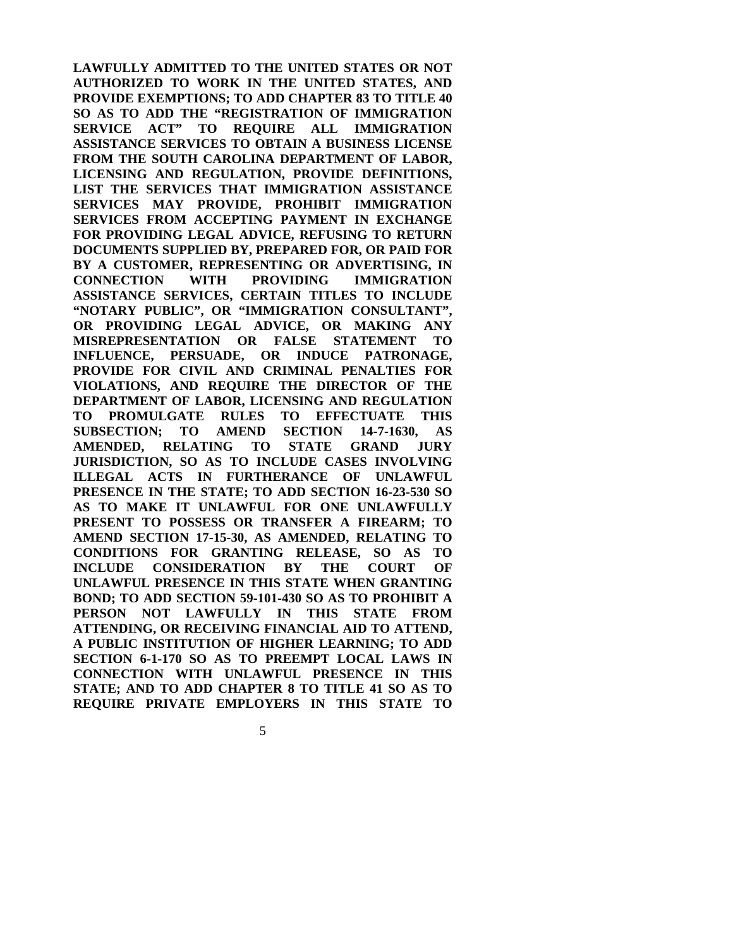**LAWFULLY ADMITTED TO THE UNITED STATES OR NOT AUTHORIZED TO WORK IN THE UNITED STATES, AND PROVIDE EXEMPTIONS; TO ADD CHAPTER 83 TO TITLE 40 SO AS TO ADD THE "REGISTRATION OF IMMIGRATION SERVICE ACT" TO REQUIRE ALL IMMIGRATION ASSISTANCE SERVICES TO OBTAIN A BUSINESS LICENSE FROM THE SOUTH CAROLINA DEPARTMENT OF LABOR, LICENSING AND REGULATION, PROVIDE DEFINITIONS, LIST THE SERVICES THAT IMMIGRATION ASSISTANCE SERVICES MAY PROVIDE, PROHIBIT IMMIGRATION SERVICES FROM ACCEPTING PAYMENT IN EXCHANGE FOR PROVIDING LEGAL ADVICE, REFUSING TO RETURN DOCUMENTS SUPPLIED BY, PREPARED FOR, OR PAID FOR BY A CUSTOMER, REPRESENTING OR ADVERTISING, IN CONNECTION WITH PROVIDING IMMIGRATION ASSISTANCE SERVICES, CERTAIN TITLES TO INCLUDE "NOTARY PUBLIC", OR "IMMIGRATION CONSULTANT", OR PROVIDING LEGAL ADVICE, OR MAKING ANY MISREPRESENTATION OR FALSE STATEMENT TO INFLUENCE, PERSUADE, OR INDUCE PATRONAGE, PROVIDE FOR CIVIL AND CRIMINAL PENALTIES FOR VIOLATIONS, AND REQUIRE THE DIRECTOR OF THE DEPARTMENT OF LABOR, LICENSING AND REGULATION TO PROMULGATE RULES TO EFFECTUATE THIS SUBSECTION; TO AMEND SECTION 14-7-1630, AS AMENDED, RELATING TO STATE GRAND JURY JURISDICTION, SO AS TO INCLUDE CASES INVOLVING ILLEGAL ACTS IN FURTHERANCE OF UNLAWFUL PRESENCE IN THE STATE; TO ADD SECTION 16-23-530 SO AS TO MAKE IT UNLAWFUL FOR ONE UNLAWFULLY PRESENT TO POSSESS OR TRANSFER A FIREARM; TO AMEND SECTION 17-15-30, AS AMENDED, RELATING TO CONDITIONS FOR GRANTING RELEASE, SO AS TO INCLUDE CONSIDERATION BY THE COURT OF UNLAWFUL PRESENCE IN THIS STATE WHEN GRANTING BOND; TO ADD SECTION 59-101-430 SO AS TO PROHIBIT A PERSON NOT LAWFULLY IN THIS STATE FROM ATTENDING, OR RECEIVING FINANCIAL AID TO ATTEND, A PUBLIC INSTITUTION OF HIGHER LEARNING; TO ADD SECTION 6-1-170 SO AS TO PREEMPT LOCAL LAWS IN CONNECTION WITH UNLAWFUL PRESENCE IN THIS STATE; AND TO ADD CHAPTER 8 TO TITLE 41 SO AS TO REQUIRE PRIVATE EMPLOYERS IN THIS STATE TO** 

 $\sim$  5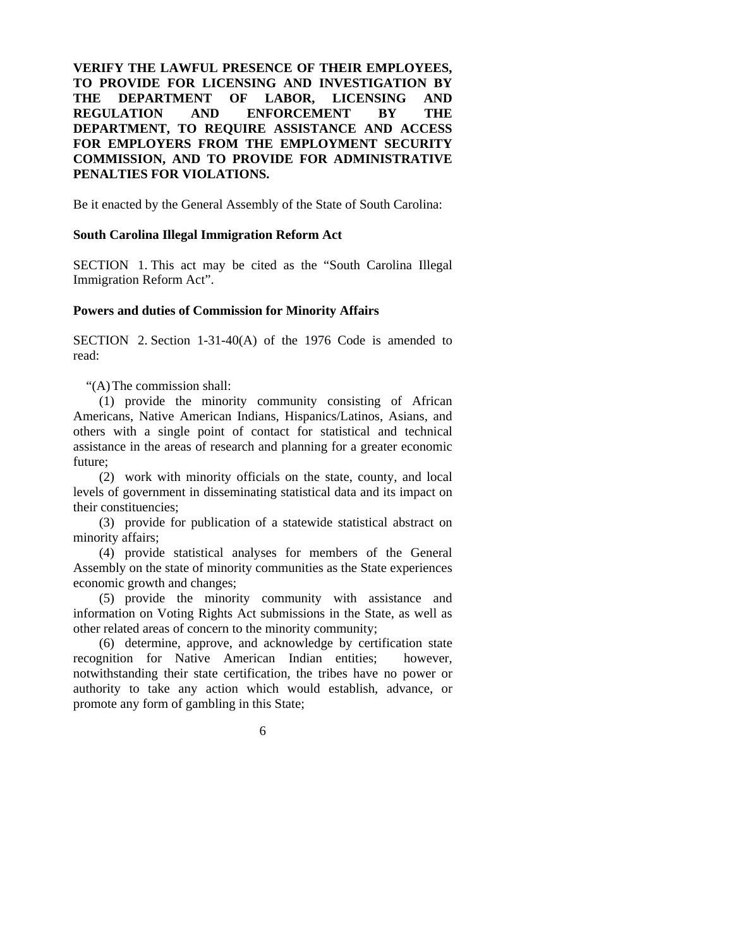# **VERIFY THE LAWFUL PRESENCE OF THEIR EMPLOYEES, TO PROVIDE FOR LICENSING AND INVESTIGATION BY THE DEPARTMENT OF LABOR, LICENSING AND REGULATION AND ENFORCEMENT BY THE DEPARTMENT, TO REQUIRE ASSISTANCE AND ACCESS FOR EMPLOYERS FROM THE EMPLOYMENT SECURITY COMMISSION, AND TO PROVIDE FOR ADMINISTRATIVE PENALTIES FOR VIOLATIONS.**

Be it enacted by the General Assembly of the State of South Carolina:

## **South Carolina Illegal Immigration Reform Act**

SECTION 1. This act may be cited as the "South Carolina Illegal Immigration Reform Act".

### **Powers and duties of Commission for Minority Affairs**

SECTION 2. Section 1-31-40(A) of the 1976 Code is amended to read:

"(A) The commission shall:

 (1) provide the minority community consisting of African Americans, Native American Indians, Hispanics/Latinos, Asians, and others with a single point of contact for statistical and technical assistance in the areas of research and planning for a greater economic future;

 (2) work with minority officials on the state, county, and local levels of government in disseminating statistical data and its impact on their constituencies;

 (3) provide for publication of a statewide statistical abstract on minority affairs;

 (4) provide statistical analyses for members of the General Assembly on the state of minority communities as the State experiences economic growth and changes;

 (5) provide the minority community with assistance and information on Voting Rights Act submissions in the State, as well as other related areas of concern to the minority community;

 (6) determine, approve, and acknowledge by certification state recognition for Native American Indian entities; however, notwithstanding their state certification, the tribes have no power or authority to take any action which would establish, advance, or promote any form of gambling in this State;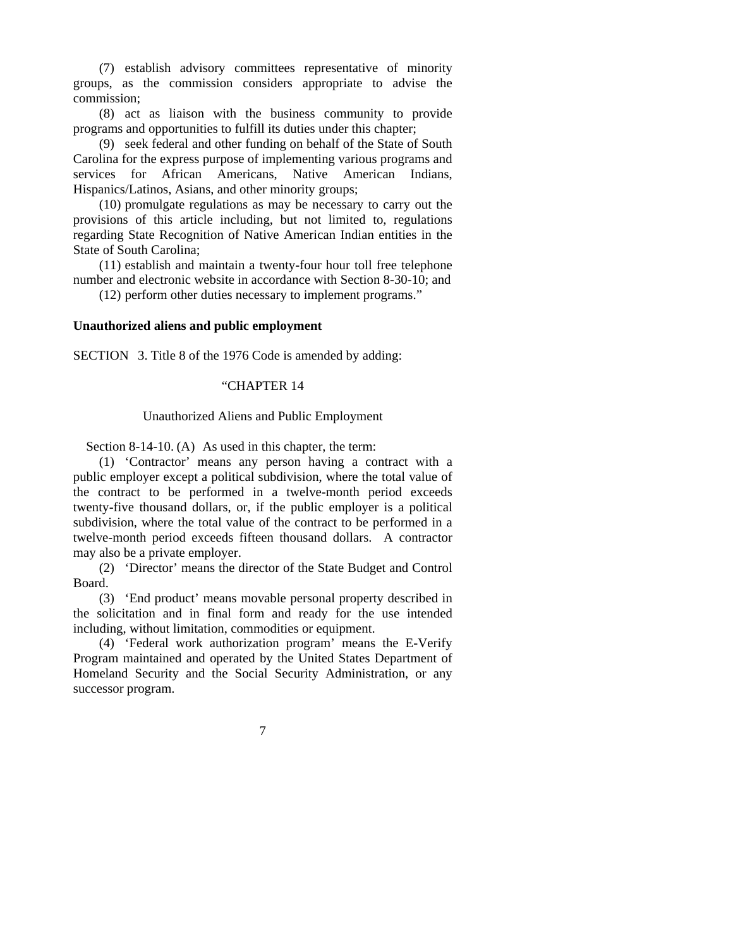(7) establish advisory committees representative of minority groups, as the commission considers appropriate to advise the commission;

 (8) act as liaison with the business community to provide programs and opportunities to fulfill its duties under this chapter;

 (9) seek federal and other funding on behalf of the State of South Carolina for the express purpose of implementing various programs and services for African Americans, Native American Indians, Hispanics/Latinos, Asians, and other minority groups;

 (10) promulgate regulations as may be necessary to carry out the provisions of this article including, but not limited to, regulations regarding State Recognition of Native American Indian entities in the State of South Carolina;

 (11) establish and maintain a twenty-four hour toll free telephone number and electronic website in accordance with Section 8-30-10; and

(12) perform other duties necessary to implement programs."

#### **Unauthorized aliens and public employment**

SECTION 3. Title 8 of the 1976 Code is amended by adding:

#### "CHAPTER 14

#### Unauthorized Aliens and Public Employment

Section 8-14-10. (A) As used in this chapter, the term:

 (1) 'Contractor' means any person having a contract with a public employer except a political subdivision, where the total value of the contract to be performed in a twelve-month period exceeds twenty-five thousand dollars, or, if the public employer is a political subdivision, where the total value of the contract to be performed in a twelve-month period exceeds fifteen thousand dollars. A contractor may also be a private employer.

 (2) 'Director' means the director of the State Budget and Control Board.

 (3) 'End product' means movable personal property described in the solicitation and in final form and ready for the use intended including, without limitation, commodities or equipment.

 (4) 'Federal work authorization program' means the E-Verify Program maintained and operated by the United States Department of Homeland Security and the Social Security Administration, or any successor program.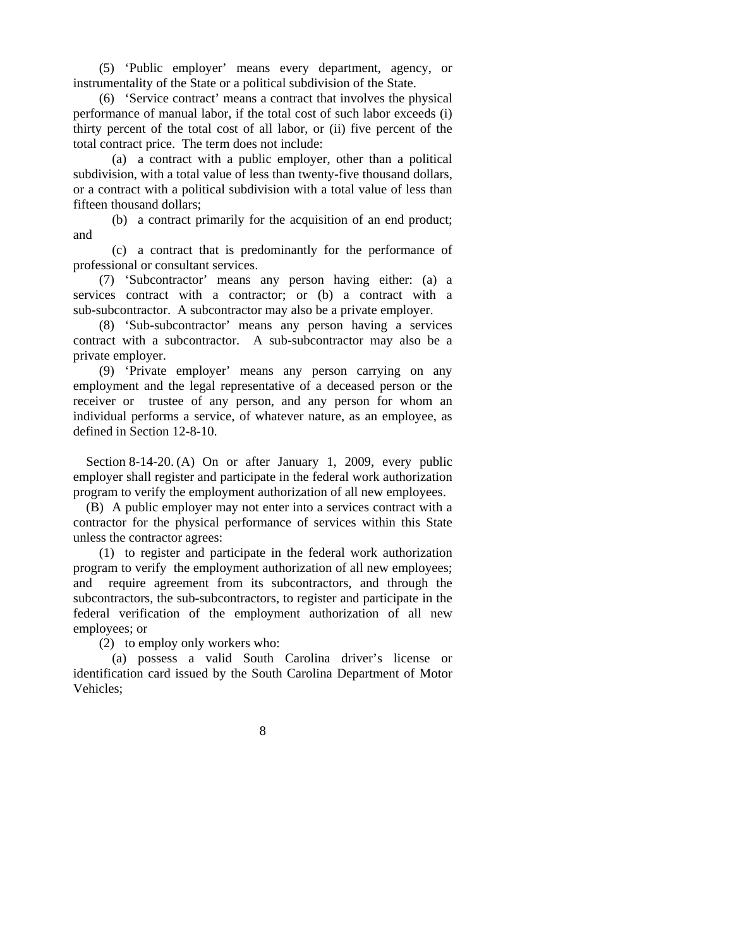(5) 'Public employer' means every department, agency, or instrumentality of the State or a political subdivision of the State.

 (6) 'Service contract' means a contract that involves the physical performance of manual labor, if the total cost of such labor exceeds (i) thirty percent of the total cost of all labor, or (ii) five percent of the total contract price. The term does not include:

 (a) a contract with a public employer, other than a political subdivision, with a total value of less than twenty-five thousand dollars, or a contract with a political subdivision with a total value of less than fifteen thousand dollars;

 (b) a contract primarily for the acquisition of an end product; and

 (c) a contract that is predominantly for the performance of professional or consultant services.

 (7) 'Subcontractor' means any person having either: (a) a services contract with a contractor; or (b) a contract with a sub-subcontractor. A subcontractor may also be a private employer.

 (8) 'Sub-subcontractor' means any person having a services contract with a subcontractor. A sub-subcontractor may also be a private employer.

 (9) 'Private employer' means any person carrying on any employment and the legal representative of a deceased person or the receiver or trustee of any person, and any person for whom an individual performs a service, of whatever nature, as an employee, as defined in Section 12-8-10.

Section 8-14-20. (A) On or after January 1, 2009, every public employer shall register and participate in the federal work authorization program to verify the employment authorization of all new employees.

 (B) A public employer may not enter into a services contract with a contractor for the physical performance of services within this State unless the contractor agrees:

 (1) to register and participate in the federal work authorization program to verify the employment authorization of all new employees; and require agreement from its subcontractors, and through the subcontractors, the sub-subcontractors, to register and participate in the federal verification of the employment authorization of all new employees; or

(2) to employ only workers who:

 (a) possess a valid South Carolina driver's license or identification card issued by the South Carolina Department of Motor Vehicles;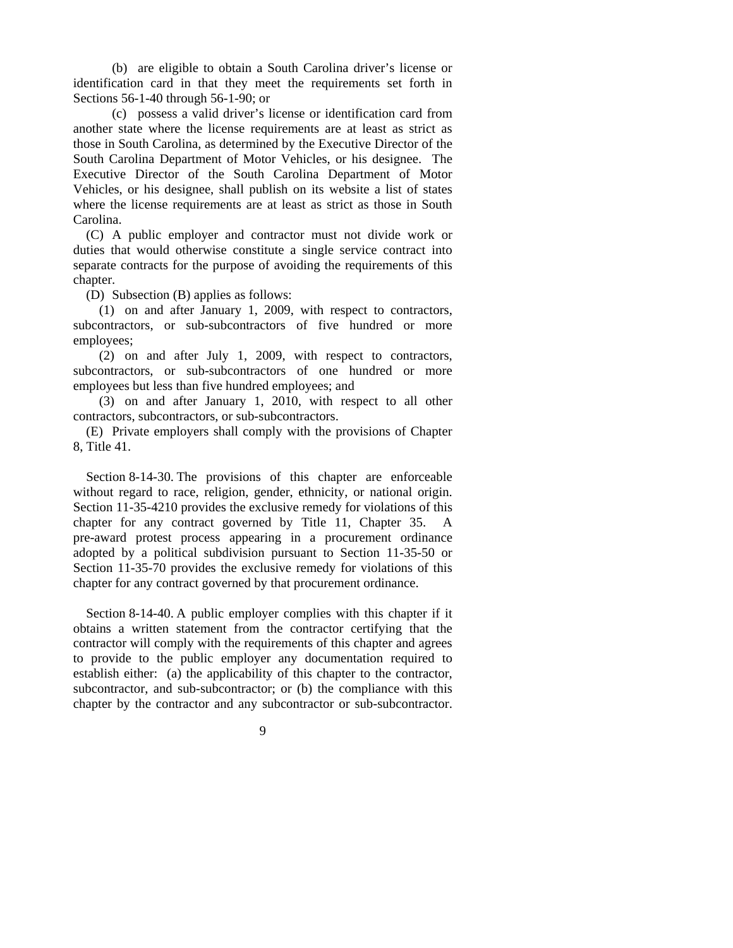(b) are eligible to obtain a South Carolina driver's license or identification card in that they meet the requirements set forth in Sections 56-1-40 through 56-1-90; or

 (c) possess a valid driver's license or identification card from another state where the license requirements are at least as strict as those in South Carolina, as determined by the Executive Director of the South Carolina Department of Motor Vehicles, or his designee. The Executive Director of the South Carolina Department of Motor Vehicles, or his designee, shall publish on its website a list of states where the license requirements are at least as strict as those in South Carolina.

 (C) A public employer and contractor must not divide work or duties that would otherwise constitute a single service contract into separate contracts for the purpose of avoiding the requirements of this chapter.

(D) Subsection (B) applies as follows:

 (1) on and after January 1, 2009, with respect to contractors, subcontractors, or sub-subcontractors of five hundred or more employees;

 (2) on and after July 1, 2009, with respect to contractors, subcontractors, or sub-subcontractors of one hundred or more employees but less than five hundred employees; and

 (3) on and after January 1, 2010, with respect to all other contractors, subcontractors, or sub-subcontractors.

 (E) Private employers shall comply with the provisions of Chapter 8, Title 41.

 Section 8-14-30. The provisions of this chapter are enforceable without regard to race, religion, gender, ethnicity, or national origin. Section 11-35-4210 provides the exclusive remedy for violations of this chapter for any contract governed by Title 11, Chapter 35. A pre-award protest process appearing in a procurement ordinance adopted by a political subdivision pursuant to Section 11-35-50 or Section 11-35-70 provides the exclusive remedy for violations of this chapter for any contract governed by that procurement ordinance.

Section 8-14-40. A public employer complies with this chapter if it obtains a written statement from the contractor certifying that the contractor will comply with the requirements of this chapter and agrees to provide to the public employer any documentation required to establish either: (a) the applicability of this chapter to the contractor, subcontractor, and sub-subcontractor; or (b) the compliance with this chapter by the contractor and any subcontractor or sub-subcontractor.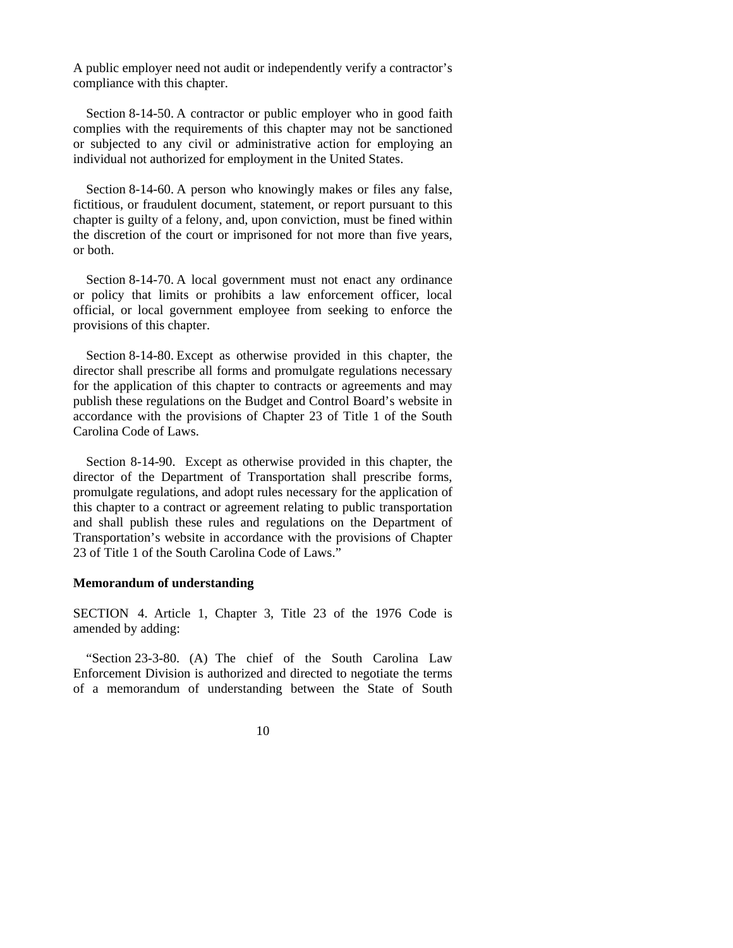A public employer need not audit or independently verify a contractor's compliance with this chapter.

 Section 8-14-50. A contractor or public employer who in good faith complies with the requirements of this chapter may not be sanctioned or subjected to any civil or administrative action for employing an individual not authorized for employment in the United States.

 Section 8-14-60. A person who knowingly makes or files any false, fictitious, or fraudulent document, statement, or report pursuant to this chapter is guilty of a felony, and, upon conviction, must be fined within the discretion of the court or imprisoned for not more than five years, or both.

Section 8-14-70. A local government must not enact any ordinance or policy that limits or prohibits a law enforcement officer, local official, or local government employee from seeking to enforce the provisions of this chapter.

 Section 8-14-80. Except as otherwise provided in this chapter, the director shall prescribe all forms and promulgate regulations necessary for the application of this chapter to contracts or agreements and may publish these regulations on the Budget and Control Board's website in accordance with the provisions of Chapter 23 of Title 1 of the South Carolina Code of Laws.

 Section 8-14-90. Except as otherwise provided in this chapter, the director of the Department of Transportation shall prescribe forms, promulgate regulations, and adopt rules necessary for the application of this chapter to a contract or agreement relating to public transportation and shall publish these rules and regulations on the Department of Transportation's website in accordance with the provisions of Chapter 23 of Title 1 of the South Carolina Code of Laws."

### **Memorandum of understanding**

SECTION 4. Article 1, Chapter 3, Title 23 of the 1976 Code is amended by adding:

 "Section 23-3-80. (A) The chief of the South Carolina Law Enforcement Division is authorized and directed to negotiate the terms of a memorandum of understanding between the State of South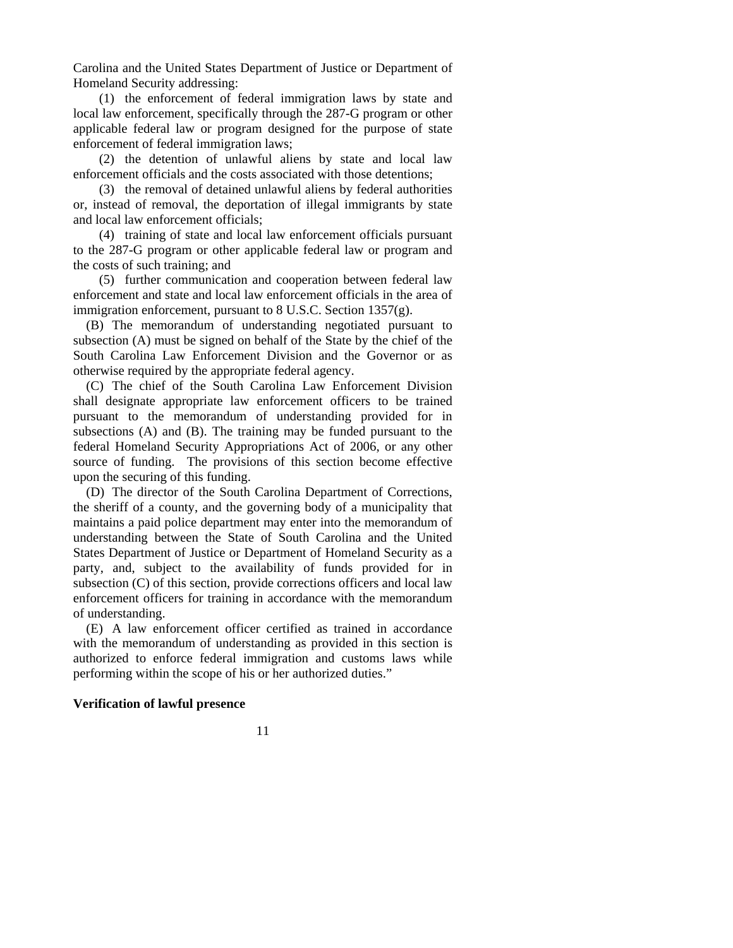Carolina and the United States Department of Justice or Department of Homeland Security addressing:

 (1) the enforcement of federal immigration laws by state and local law enforcement, specifically through the 287-G program or other applicable federal law or program designed for the purpose of state enforcement of federal immigration laws;

 (2) the detention of unlawful aliens by state and local law enforcement officials and the costs associated with those detentions;

 (3) the removal of detained unlawful aliens by federal authorities or, instead of removal, the deportation of illegal immigrants by state and local law enforcement officials;

 (4) training of state and local law enforcement officials pursuant to the 287-G program or other applicable federal law or program and the costs of such training; and

 (5) further communication and cooperation between federal law enforcement and state and local law enforcement officials in the area of immigration enforcement, pursuant to 8 U.S.C. Section 1357(g).

 (B) The memorandum of understanding negotiated pursuant to subsection (A) must be signed on behalf of the State by the chief of the South Carolina Law Enforcement Division and the Governor or as otherwise required by the appropriate federal agency.

 (C) The chief of the South Carolina Law Enforcement Division shall designate appropriate law enforcement officers to be trained pursuant to the memorandum of understanding provided for in subsections (A) and (B). The training may be funded pursuant to the federal Homeland Security Appropriations Act of 2006, or any other source of funding. The provisions of this section become effective upon the securing of this funding.

 (D) The director of the South Carolina Department of Corrections, the sheriff of a county, and the governing body of a municipality that maintains a paid police department may enter into the memorandum of understanding between the State of South Carolina and the United States Department of Justice or Department of Homeland Security as a party, and, subject to the availability of funds provided for in subsection (C) of this section, provide corrections officers and local law enforcement officers for training in accordance with the memorandum of understanding.

 (E) A law enforcement officer certified as trained in accordance with the memorandum of understanding as provided in this section is authorized to enforce federal immigration and customs laws while performing within the scope of his or her authorized duties."

#### **Verification of lawful presence**

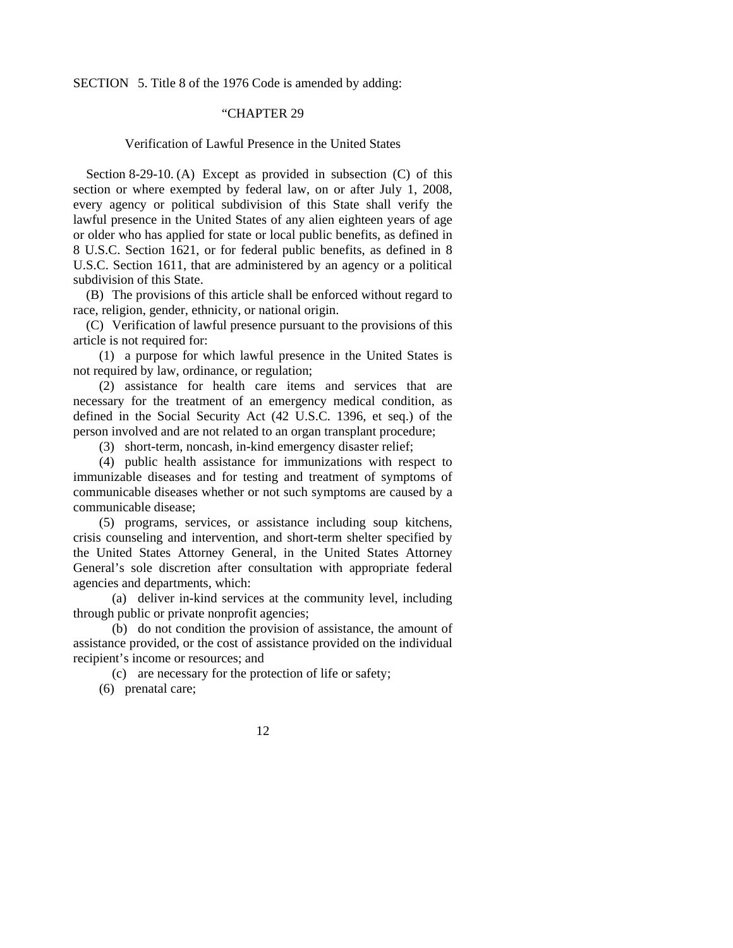SECTION 5. Title 8 of the 1976 Code is amended by adding:

# "CHAPTER 29

## Verification of Lawful Presence in the United States

Section 8-29-10. (A) Except as provided in subsection (C) of this section or where exempted by federal law, on or after July 1, 2008, every agency or political subdivision of this State shall verify the lawful presence in the United States of any alien eighteen years of age or older who has applied for state or local public benefits, as defined in 8 U.S.C. Section 1621, or for federal public benefits, as defined in 8 U.S.C. Section 1611, that are administered by an agency or a political subdivision of this State.

 (B) The provisions of this article shall be enforced without regard to race, religion, gender, ethnicity, or national origin.

 (C) Verification of lawful presence pursuant to the provisions of this article is not required for:

 (1) a purpose for which lawful presence in the United States is not required by law, ordinance, or regulation;

 (2) assistance for health care items and services that are necessary for the treatment of an emergency medical condition, as defined in the Social Security Act (42 U.S.C. 1396, et seq.) of the person involved and are not related to an organ transplant procedure;

(3) short-term, noncash, in-kind emergency disaster relief;

 (4) public health assistance for immunizations with respect to immunizable diseases and for testing and treatment of symptoms of communicable diseases whether or not such symptoms are caused by a communicable disease;

 (5) programs, services, or assistance including soup kitchens, crisis counseling and intervention, and short-term shelter specified by the United States Attorney General, in the United States Attorney General's sole discretion after consultation with appropriate federal agencies and departments, which:

 (a) deliver in-kind services at the community level, including through public or private nonprofit agencies;

 (b) do not condition the provision of assistance, the amount of assistance provided, or the cost of assistance provided on the individual recipient's income or resources; and

(c) are necessary for the protection of life or safety;

(6) prenatal care;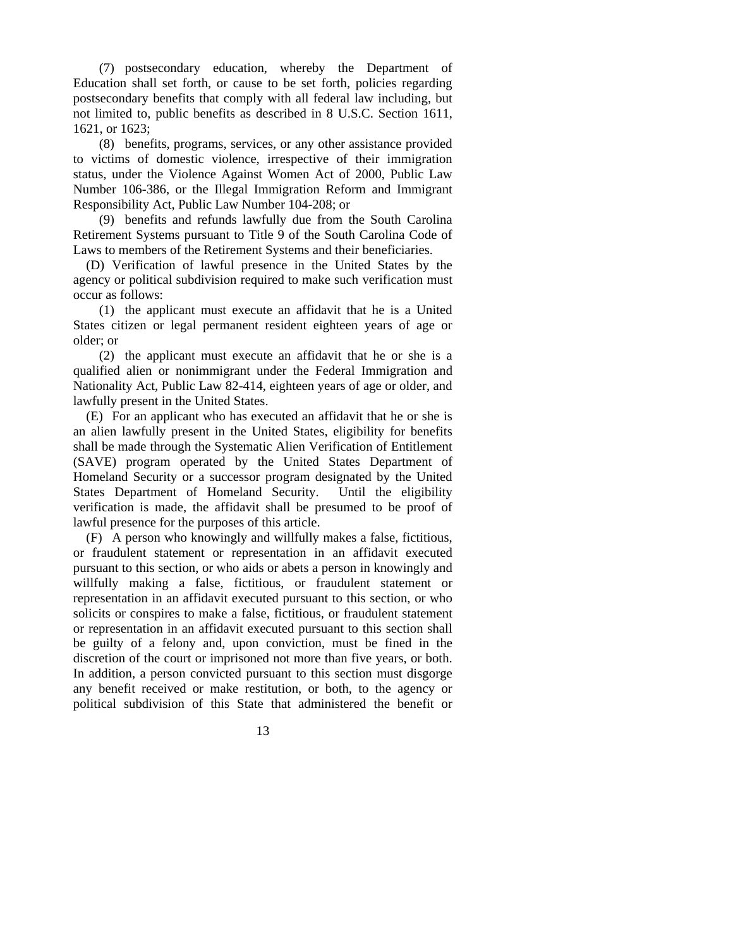(7) postsecondary education, whereby the Department of Education shall set forth, or cause to be set forth, policies regarding postsecondary benefits that comply with all federal law including, but not limited to, public benefits as described in 8 U.S.C. Section 1611, 1621, or 1623;

 (8) benefits, programs, services, or any other assistance provided to victims of domestic violence, irrespective of their immigration status, under the Violence Against Women Act of 2000, Public Law Number 106-386, or the Illegal Immigration Reform and Immigrant Responsibility Act, Public Law Number 104-208; or

(9) benefits and refunds lawfully due from the South Carolina Retirement Systems pursuant to Title 9 of the South Carolina Code of Laws to members of the Retirement Systems and their beneficiaries.

 (D) Verification of lawful presence in the United States by the agency or political subdivision required to make such verification must occur as follows:

 (1) the applicant must execute an affidavit that he is a United States citizen or legal permanent resident eighteen years of age or older; or

 (2) the applicant must execute an affidavit that he or she is a qualified alien or nonimmigrant under the Federal Immigration and Nationality Act, Public Law 82-414, eighteen years of age or older, and lawfully present in the United States.

 (E) For an applicant who has executed an affidavit that he or she is an alien lawfully present in the United States, eligibility for benefits shall be made through the Systematic Alien Verification of Entitlement (SAVE) program operated by the United States Department of Homeland Security or a successor program designated by the United States Department of Homeland Security. Until the eligibility verification is made, the affidavit shall be presumed to be proof of lawful presence for the purposes of this article.

 (F) A person who knowingly and willfully makes a false, fictitious, or fraudulent statement or representation in an affidavit executed pursuant to this section, or who aids or abets a person in knowingly and willfully making a false, fictitious, or fraudulent statement or representation in an affidavit executed pursuant to this section, or who solicits or conspires to make a false, fictitious, or fraudulent statement or representation in an affidavit executed pursuant to this section shall be guilty of a felony and, upon conviction, must be fined in the discretion of the court or imprisoned not more than five years, or both. In addition, a person convicted pursuant to this section must disgorge any benefit received or make restitution, or both, to the agency or political subdivision of this State that administered the benefit or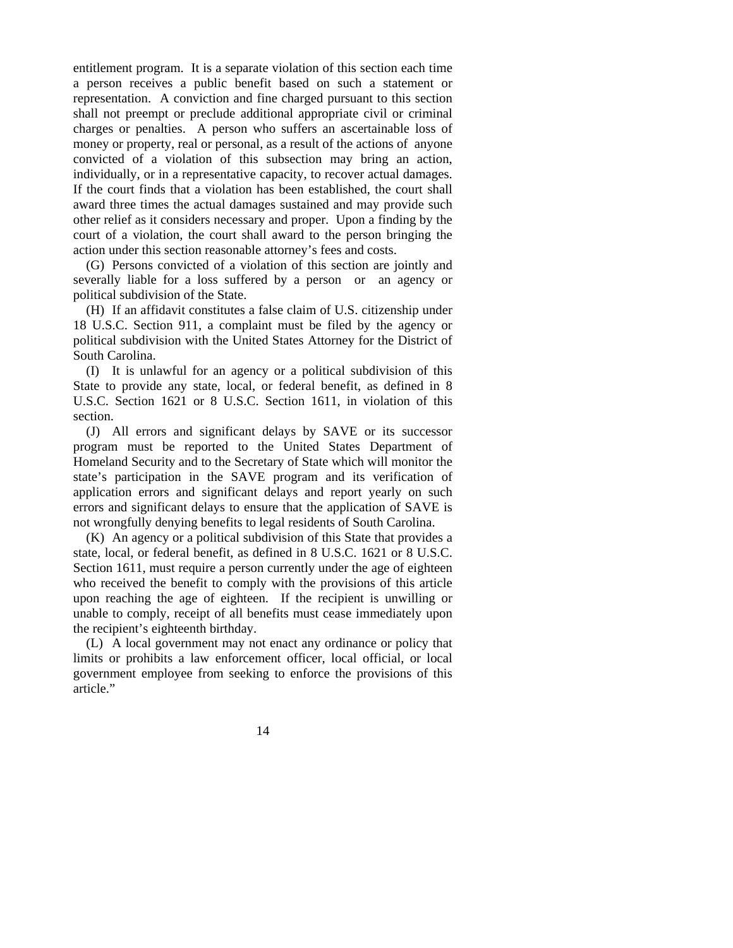entitlement program. It is a separate violation of this section each time a person receives a public benefit based on such a statement or representation. A conviction and fine charged pursuant to this section shall not preempt or preclude additional appropriate civil or criminal charges or penalties. A person who suffers an ascertainable loss of money or property, real or personal, as a result of the actions of anyone convicted of a violation of this subsection may bring an action, individually, or in a representative capacity, to recover actual damages. If the court finds that a violation has been established, the court shall award three times the actual damages sustained and may provide such other relief as it considers necessary and proper. Upon a finding by the court of a violation, the court shall award to the person bringing the action under this section reasonable attorney's fees and costs.

 (G) Persons convicted of a violation of this section are jointly and severally liable for a loss suffered by a person or an agency or political subdivision of the State.

 (H) If an affidavit constitutes a false claim of U.S. citizenship under 18 U.S.C. Section 911, a complaint must be filed by the agency or political subdivision with the United States Attorney for the District of South Carolina.

 (I) It is unlawful for an agency or a political subdivision of this State to provide any state, local, or federal benefit, as defined in 8 U.S.C. Section 1621 or 8 U.S.C. Section 1611, in violation of this section.

 (J) All errors and significant delays by SAVE or its successor program must be reported to the United States Department of Homeland Security and to the Secretary of State which will monitor the state's participation in the SAVE program and its verification of application errors and significant delays and report yearly on such errors and significant delays to ensure that the application of SAVE is not wrongfully denying benefits to legal residents of South Carolina.

 (K) An agency or a political subdivision of this State that provides a state, local, or federal benefit, as defined in 8 U.S.C. 1621 or 8 U.S.C. Section 1611, must require a person currently under the age of eighteen who received the benefit to comply with the provisions of this article upon reaching the age of eighteen. If the recipient is unwilling or unable to comply, receipt of all benefits must cease immediately upon the recipient's eighteenth birthday.

 (L) A local government may not enact any ordinance or policy that limits or prohibits a law enforcement officer, local official, or local government employee from seeking to enforce the provisions of this article."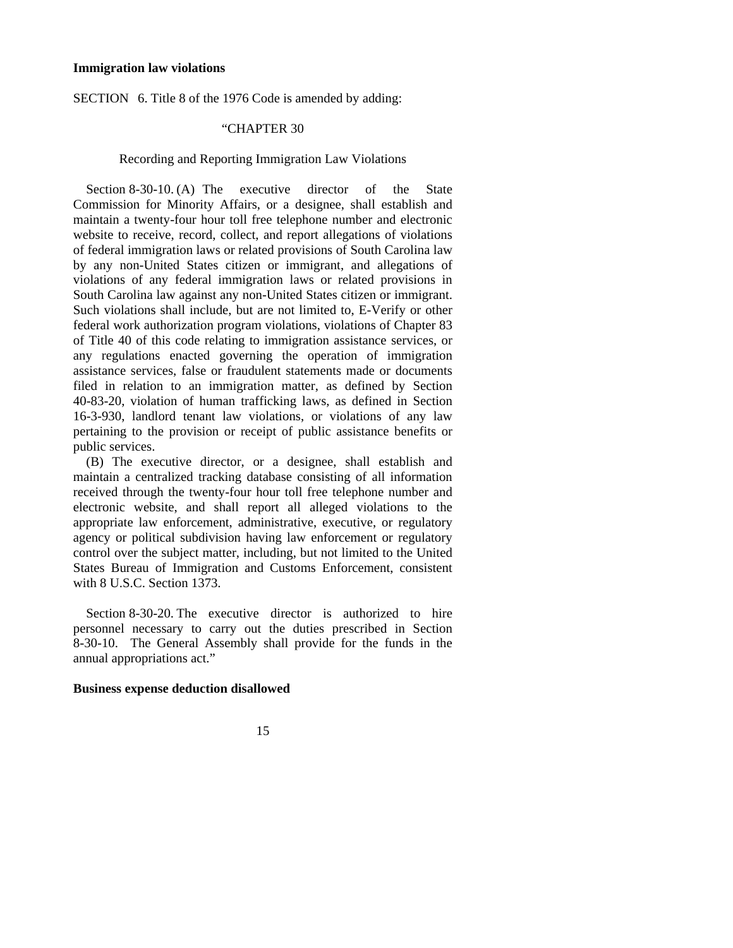#### **Immigration law violations**

SECTION 6. Title 8 of the 1976 Code is amended by adding:

## "CHAPTER 30

## Recording and Reporting Immigration Law Violations

Section 8-30-10. (A) The executive director of the State Commission for Minority Affairs, or a designee, shall establish and maintain a twenty-four hour toll free telephone number and electronic website to receive, record, collect, and report allegations of violations of federal immigration laws or related provisions of South Carolina law by any non-United States citizen or immigrant, and allegations of violations of any federal immigration laws or related provisions in South Carolina law against any non-United States citizen or immigrant. Such violations shall include, but are not limited to, E-Verify or other federal work authorization program violations, violations of Chapter 83 of Title 40 of this code relating to immigration assistance services, or any regulations enacted governing the operation of immigration assistance services, false or fraudulent statements made or documents filed in relation to an immigration matter, as defined by Section 40-83-20, violation of human trafficking laws, as defined in Section 16-3-930, landlord tenant law violations, or violations of any law pertaining to the provision or receipt of public assistance benefits or public services.

 (B) The executive director, or a designee, shall establish and maintain a centralized tracking database consisting of all information received through the twenty-four hour toll free telephone number and electronic website, and shall report all alleged violations to the appropriate law enforcement, administrative, executive, or regulatory agency or political subdivision having law enforcement or regulatory control over the subject matter, including, but not limited to the United States Bureau of Immigration and Customs Enforcement, consistent with 8 U.S.C. Section 1373.

Section 8-30-20. The executive director is authorized to hire personnel necessary to carry out the duties prescribed in Section 8-30-10. The General Assembly shall provide for the funds in the annual appropriations act."

#### **Business expense deduction disallowed**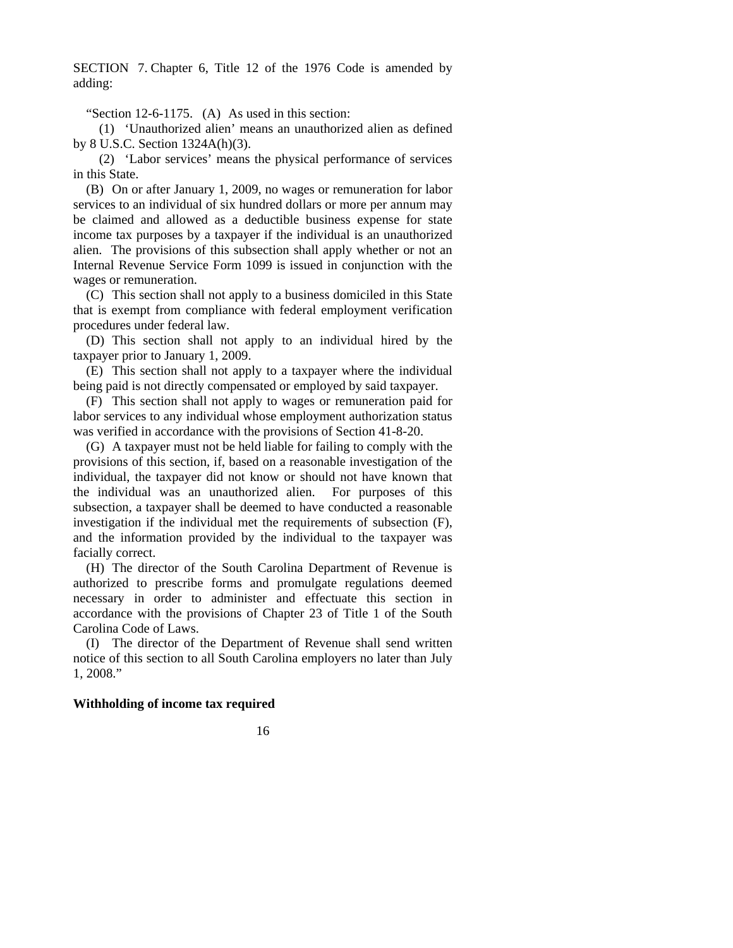SECTION 7. Chapter 6, Title 12 of the 1976 Code is amended by adding:

"Section 12-6-1175. (A) As used in this section:

 (1) 'Unauthorized alien' means an unauthorized alien as defined by 8 U.S.C. Section 1324A(h)(3).

 (2) 'Labor services' means the physical performance of services in this State.

 (B) On or after January 1, 2009, no wages or remuneration for labor services to an individual of six hundred dollars or more per annum may be claimed and allowed as a deductible business expense for state income tax purposes by a taxpayer if the individual is an unauthorized alien. The provisions of this subsection shall apply whether or not an Internal Revenue Service Form 1099 is issued in conjunction with the wages or remuneration.

 (C) This section shall not apply to a business domiciled in this State that is exempt from compliance with federal employment verification procedures under federal law.

 (D) This section shall not apply to an individual hired by the taxpayer prior to January 1, 2009.

 (E) This section shall not apply to a taxpayer where the individual being paid is not directly compensated or employed by said taxpayer.

 (F) This section shall not apply to wages or remuneration paid for labor services to any individual whose employment authorization status was verified in accordance with the provisions of Section 41-8-20.

 (G) A taxpayer must not be held liable for failing to comply with the provisions of this section, if, based on a reasonable investigation of the individual, the taxpayer did not know or should not have known that the individual was an unauthorized alien. For purposes of this subsection, a taxpayer shall be deemed to have conducted a reasonable investigation if the individual met the requirements of subsection (F), and the information provided by the individual to the taxpayer was facially correct.

 (H) The director of the South Carolina Department of Revenue is authorized to prescribe forms and promulgate regulations deemed necessary in order to administer and effectuate this section in accordance with the provisions of Chapter 23 of Title 1 of the South Carolina Code of Laws.

 (I) The director of the Department of Revenue shall send written notice of this section to all South Carolina employers no later than July 1, 2008."

### **Withholding of income tax required**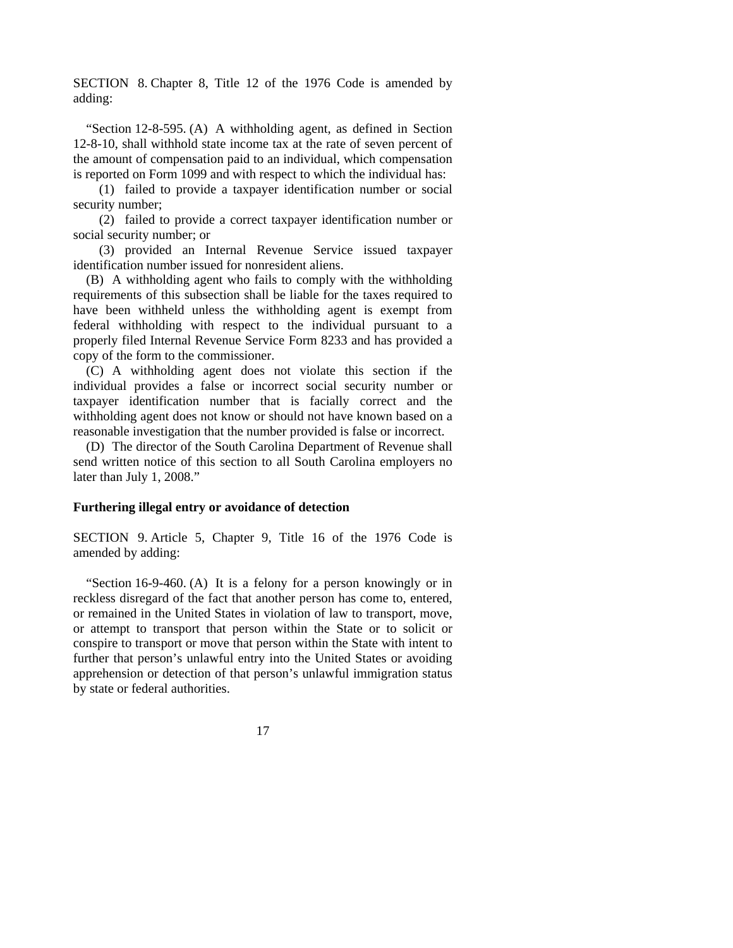SECTION 8. Chapter 8, Title 12 of the 1976 Code is amended by adding:

 "Section 12-8-595. (A) A withholding agent, as defined in Section 12-8-10, shall withhold state income tax at the rate of seven percent of the amount of compensation paid to an individual, which compensation is reported on Form 1099 and with respect to which the individual has:

 (1) failed to provide a taxpayer identification number or social security number;

 (2) failed to provide a correct taxpayer identification number or social security number; or

 (3) provided an Internal Revenue Service issued taxpayer identification number issued for nonresident aliens.

 (B) A withholding agent who fails to comply with the withholding requirements of this subsection shall be liable for the taxes required to have been withheld unless the withholding agent is exempt from federal withholding with respect to the individual pursuant to a properly filed Internal Revenue Service Form 8233 and has provided a copy of the form to the commissioner.

 (C) A withholding agent does not violate this section if the individual provides a false or incorrect social security number or taxpayer identification number that is facially correct and the withholding agent does not know or should not have known based on a reasonable investigation that the number provided is false or incorrect.

 (D) The director of the South Carolina Department of Revenue shall send written notice of this section to all South Carolina employers no later than July 1, 2008."

## **Furthering illegal entry or avoidance of detection**

SECTION 9. Article 5, Chapter 9, Title 16 of the 1976 Code is amended by adding:

 "Section 16-9-460. (A) It is a felony for a person knowingly or in reckless disregard of the fact that another person has come to, entered, or remained in the United States in violation of law to transport, move, or attempt to transport that person within the State or to solicit or conspire to transport or move that person within the State with intent to further that person's unlawful entry into the United States or avoiding apprehension or detection of that person's unlawful immigration status by state or federal authorities.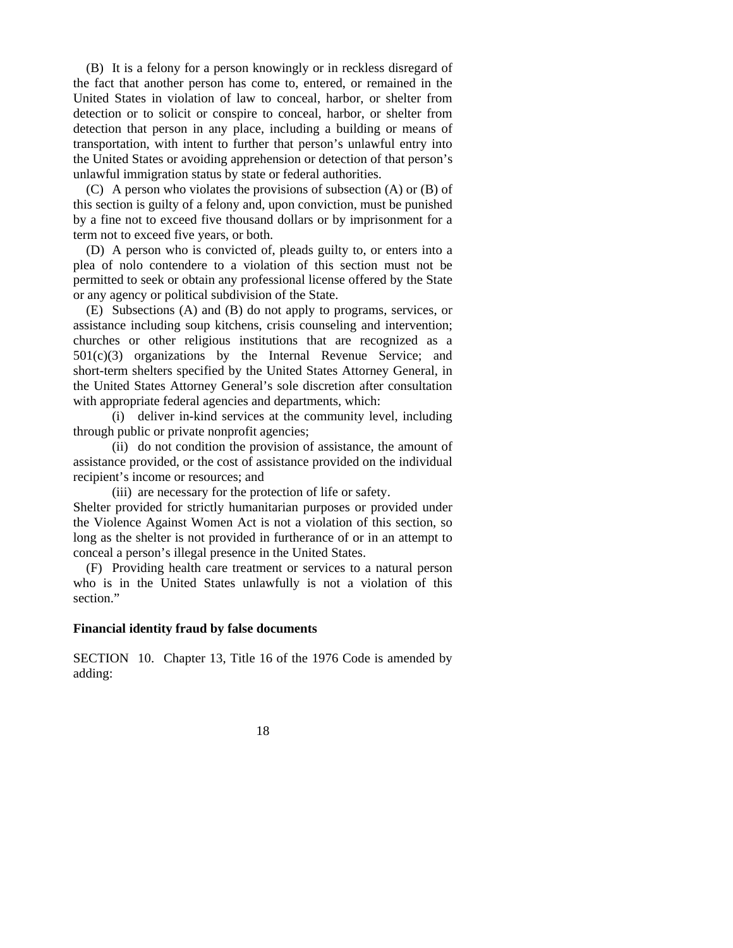(B) It is a felony for a person knowingly or in reckless disregard of the fact that another person has come to, entered, or remained in the United States in violation of law to conceal, harbor, or shelter from detection or to solicit or conspire to conceal, harbor, or shelter from detection that person in any place, including a building or means of transportation, with intent to further that person's unlawful entry into the United States or avoiding apprehension or detection of that person's unlawful immigration status by state or federal authorities.

 (C) A person who violates the provisions of subsection (A) or (B) of this section is guilty of a felony and, upon conviction, must be punished by a fine not to exceed five thousand dollars or by imprisonment for a term not to exceed five years, or both.

 (D) A person who is convicted of, pleads guilty to, or enters into a plea of nolo contendere to a violation of this section must not be permitted to seek or obtain any professional license offered by the State or any agency or political subdivision of the State.

 (E) Subsections (A) and (B) do not apply to programs, services, or assistance including soup kitchens, crisis counseling and intervention; churches or other religious institutions that are recognized as a 501(c)(3) organizations by the Internal Revenue Service; and short-term shelters specified by the United States Attorney General, in the United States Attorney General's sole discretion after consultation with appropriate federal agencies and departments, which:

 (i) deliver in-kind services at the community level, including through public or private nonprofit agencies;

 (ii) do not condition the provision of assistance, the amount of assistance provided, or the cost of assistance provided on the individual recipient's income or resources; and

 (iii) are necessary for the protection of life or safety. Shelter provided for strictly humanitarian purposes or provided under the Violence Against Women Act is not a violation of this section, so long as the shelter is not provided in furtherance of or in an attempt to conceal a person's illegal presence in the United States.

 (F) Providing health care treatment or services to a natural person who is in the United States unlawfully is not a violation of this section."

### **Financial identity fraud by false documents**

SECTION 10. Chapter 13, Title 16 of the 1976 Code is amended by adding: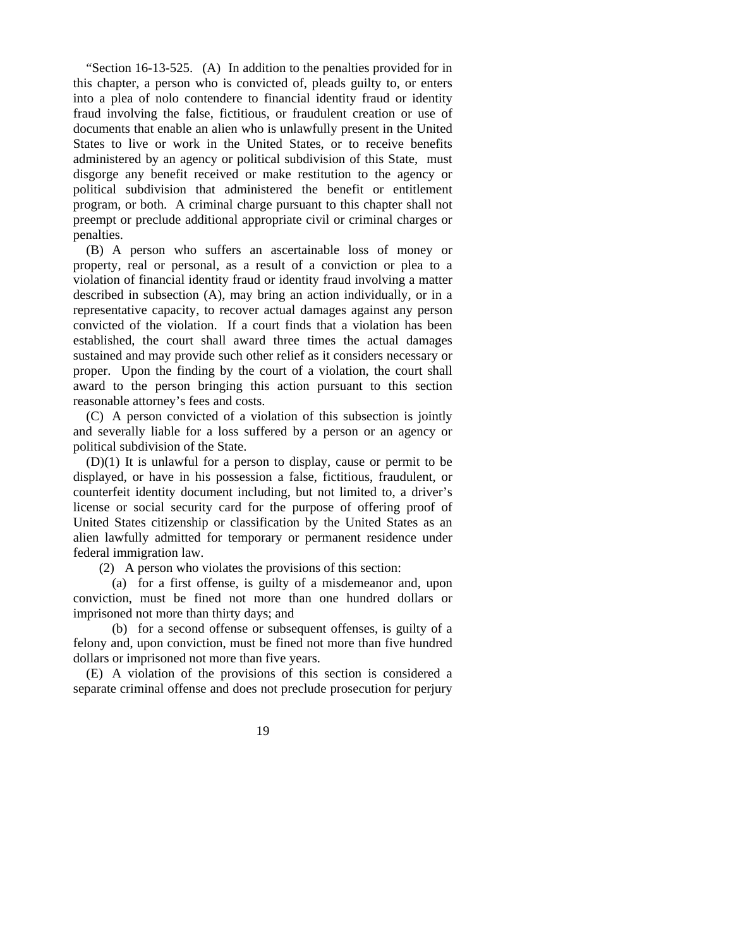"Section 16-13-525. (A) In addition to the penalties provided for in this chapter, a person who is convicted of, pleads guilty to, or enters into a plea of nolo contendere to financial identity fraud or identity fraud involving the false, fictitious, or fraudulent creation or use of documents that enable an alien who is unlawfully present in the United States to live or work in the United States, or to receive benefits administered by an agency or political subdivision of this State, must disgorge any benefit received or make restitution to the agency or political subdivision that administered the benefit or entitlement program, or both. A criminal charge pursuant to this chapter shall not preempt or preclude additional appropriate civil or criminal charges or penalties.

 (B) A person who suffers an ascertainable loss of money or property, real or personal, as a result of a conviction or plea to a violation of financial identity fraud or identity fraud involving a matter described in subsection (A), may bring an action individually, or in a representative capacity, to recover actual damages against any person convicted of the violation. If a court finds that a violation has been established, the court shall award three times the actual damages sustained and may provide such other relief as it considers necessary or proper. Upon the finding by the court of a violation, the court shall award to the person bringing this action pursuant to this section reasonable attorney's fees and costs.

 (C) A person convicted of a violation of this subsection is jointly and severally liable for a loss suffered by a person or an agency or political subdivision of the State.

 (D)(1) It is unlawful for a person to display, cause or permit to be displayed, or have in his possession a false, fictitious, fraudulent, or counterfeit identity document including, but not limited to, a driver's license or social security card for the purpose of offering proof of United States citizenship or classification by the United States as an alien lawfully admitted for temporary or permanent residence under federal immigration law.

(2) A person who violates the provisions of this section:

 (a) for a first offense, is guilty of a misdemeanor and, upon conviction, must be fined not more than one hundred dollars or imprisoned not more than thirty days; and

 (b) for a second offense or subsequent offenses, is guilty of a felony and, upon conviction, must be fined not more than five hundred dollars or imprisoned not more than five years.

 (E) A violation of the provisions of this section is considered a separate criminal offense and does not preclude prosecution for perjury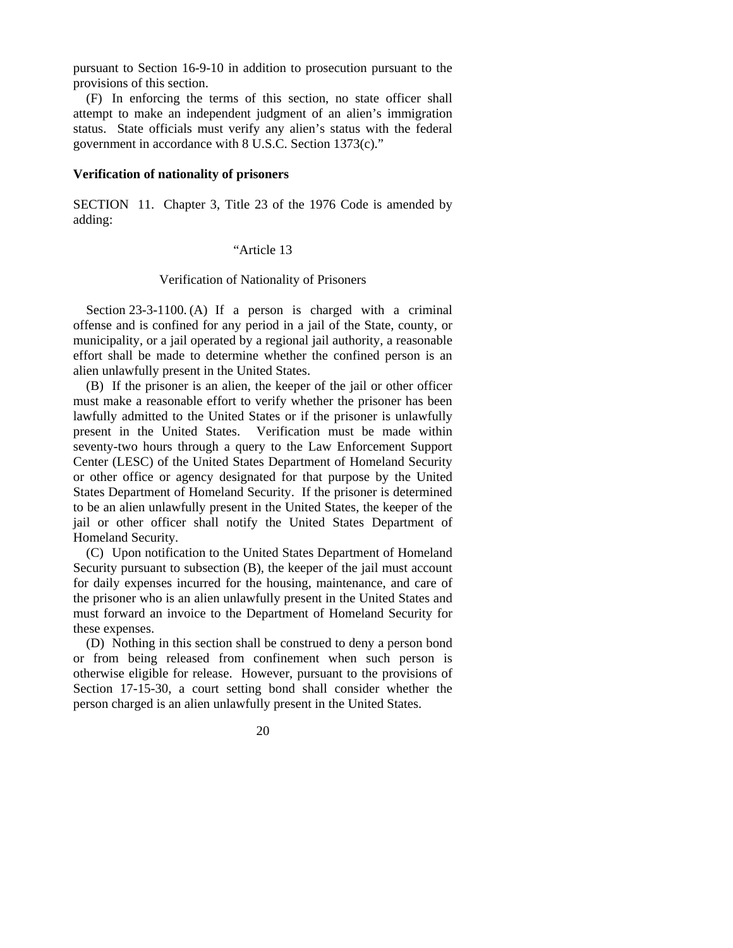pursuant to Section 16-9-10 in addition to prosecution pursuant to the provisions of this section.

 (F) In enforcing the terms of this section, no state officer shall attempt to make an independent judgment of an alien's immigration status. State officials must verify any alien's status with the federal government in accordance with 8 U.S.C. Section 1373(c)."

#### **Verification of nationality of prisoners**

SECTION 11. Chapter 3, Title 23 of the 1976 Code is amended by adding:

# "Article 13

#### Verification of Nationality of Prisoners

 Section 23-3-1100. (A) If a person is charged with a criminal offense and is confined for any period in a jail of the State, county, or municipality, or a jail operated by a regional jail authority, a reasonable effort shall be made to determine whether the confined person is an alien unlawfully present in the United States.

 (B) If the prisoner is an alien, the keeper of the jail or other officer must make a reasonable effort to verify whether the prisoner has been lawfully admitted to the United States or if the prisoner is unlawfully present in the United States. Verification must be made within seventy-two hours through a query to the Law Enforcement Support Center (LESC) of the United States Department of Homeland Security or other office or agency designated for that purpose by the United States Department of Homeland Security. If the prisoner is determined to be an alien unlawfully present in the United States, the keeper of the jail or other officer shall notify the United States Department of Homeland Security.

 (C) Upon notification to the United States Department of Homeland Security pursuant to subsection (B), the keeper of the jail must account for daily expenses incurred for the housing, maintenance, and care of the prisoner who is an alien unlawfully present in the United States and must forward an invoice to the Department of Homeland Security for these expenses.

 (D) Nothing in this section shall be construed to deny a person bond or from being released from confinement when such person is otherwise eligible for release. However, pursuant to the provisions of Section 17-15-30, a court setting bond shall consider whether the person charged is an alien unlawfully present in the United States.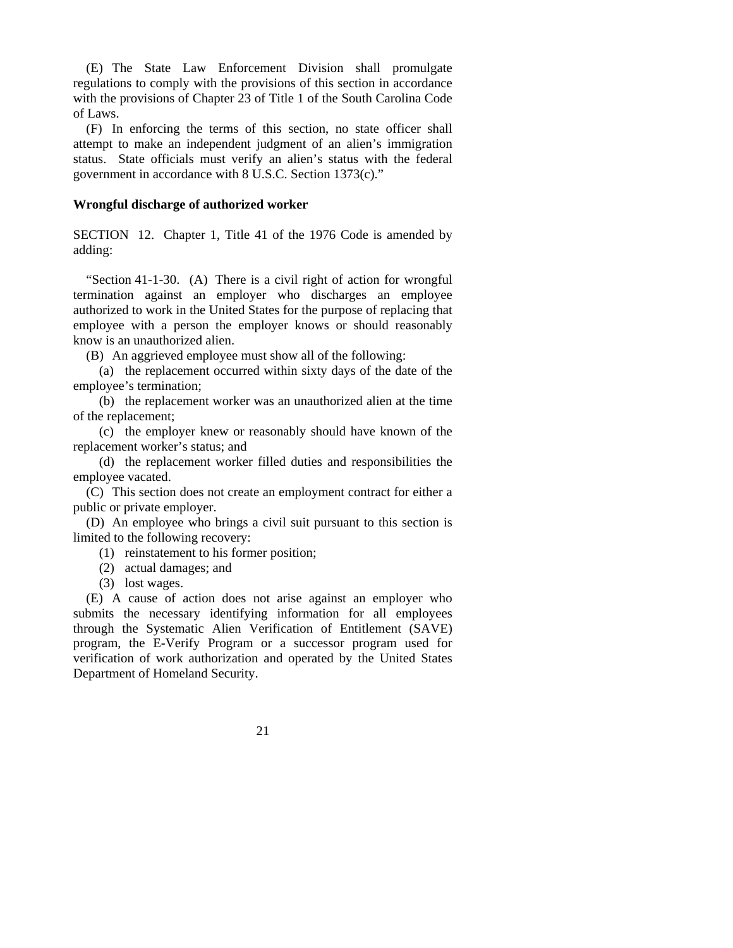(E) The State Law Enforcement Division shall promulgate regulations to comply with the provisions of this section in accordance with the provisions of Chapter 23 of Title 1 of the South Carolina Code of Laws.

 (F) In enforcing the terms of this section, no state officer shall attempt to make an independent judgment of an alien's immigration status. State officials must verify an alien's status with the federal government in accordance with 8 U.S.C. Section 1373(c)."

#### **Wrongful discharge of authorized worker**

SECTION 12. Chapter 1, Title 41 of the 1976 Code is amended by adding:

 "Section 41-1-30. (A) There is a civil right of action for wrongful termination against an employer who discharges an employee authorized to work in the United States for the purpose of replacing that employee with a person the employer knows or should reasonably know is an unauthorized alien.

(B) An aggrieved employee must show all of the following:

 (a) the replacement occurred within sixty days of the date of the employee's termination;

 (b) the replacement worker was an unauthorized alien at the time of the replacement;

 (c) the employer knew or reasonably should have known of the replacement worker's status; and

 (d) the replacement worker filled duties and responsibilities the employee vacated.

(C) This section does not create an employment contract for either a public or private employer.

(D) An employee who brings a civil suit pursuant to this section is limited to the following recovery:

(1) reinstatement to his former position;

- (2) actual damages; and
- (3) lost wages.

 (E) A cause of action does not arise against an employer who submits the necessary identifying information for all employees through the Systematic Alien Verification of Entitlement (SAVE) program, the E-Verify Program or a successor program used for verification of work authorization and operated by the United States Department of Homeland Security.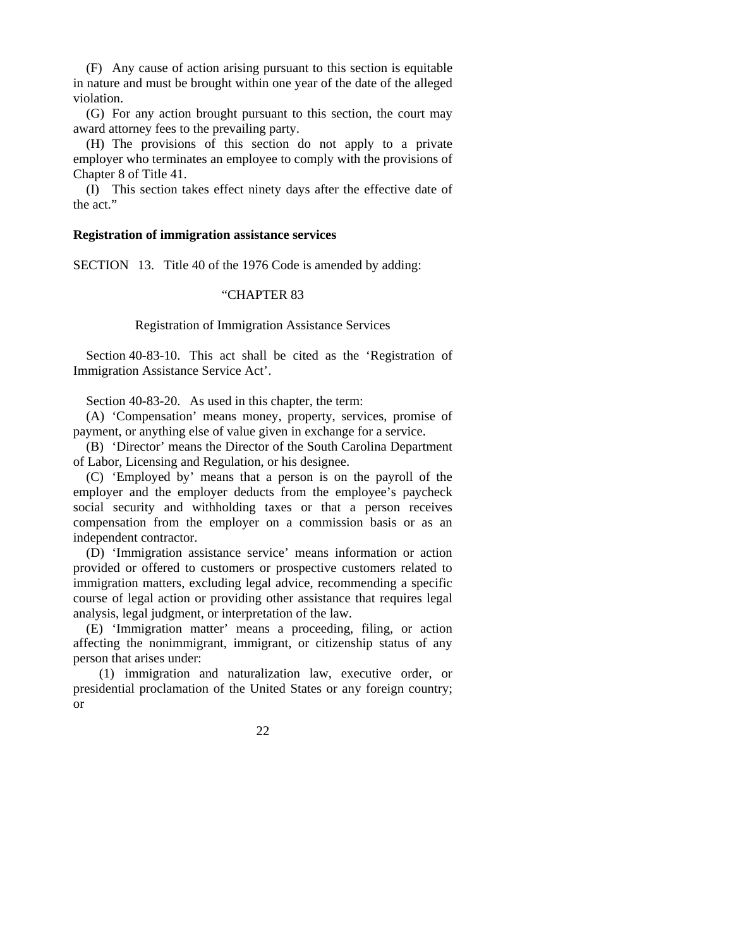(F) Any cause of action arising pursuant to this section is equitable in nature and must be brought within one year of the date of the alleged violation.

 (G) For any action brought pursuant to this section, the court may award attorney fees to the prevailing party.

 (H) The provisions of this section do not apply to a private employer who terminates an employee to comply with the provisions of Chapter 8 of Title 41.

 (I) This section takes effect ninety days after the effective date of the act."

#### **Registration of immigration assistance services**

SECTION 13. Title 40 of the 1976 Code is amended by adding:

# "CHAPTER 83

## Registration of Immigration Assistance Services

 Section 40-83-10. This act shall be cited as the 'Registration of Immigration Assistance Service Act'.

Section 40-83-20. As used in this chapter, the term:

 (A) 'Compensation' means money, property, services, promise of payment, or anything else of value given in exchange for a service.

 (B) 'Director' means the Director of the South Carolina Department of Labor, Licensing and Regulation, or his designee.

 (C) 'Employed by' means that a person is on the payroll of the employer and the employer deducts from the employee's paycheck social security and withholding taxes or that a person receives compensation from the employer on a commission basis or as an independent contractor.

 (D) 'Immigration assistance service' means information or action provided or offered to customers or prospective customers related to immigration matters, excluding legal advice, recommending a specific course of legal action or providing other assistance that requires legal analysis, legal judgment, or interpretation of the law.

 (E) 'Immigration matter' means a proceeding, filing, or action affecting the nonimmigrant, immigrant, or citizenship status of any person that arises under:

 (1) immigration and naturalization law, executive order, or presidential proclamation of the United States or any foreign country; or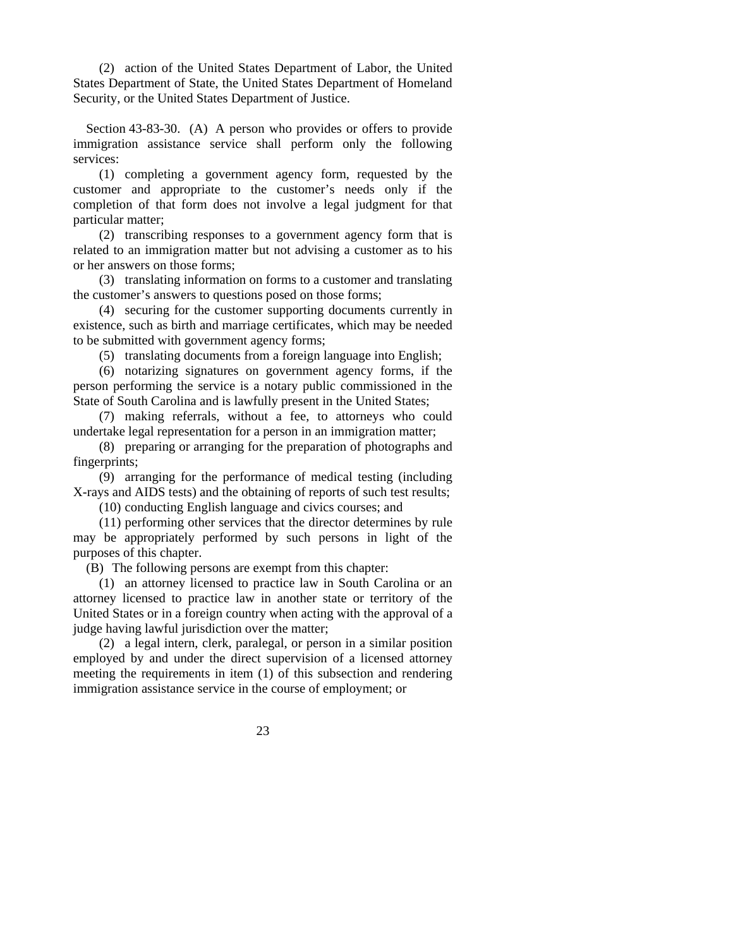(2) action of the United States Department of Labor, the United States Department of State, the United States Department of Homeland Security, or the United States Department of Justice.

 Section 43-83-30. (A) A person who provides or offers to provide immigration assistance service shall perform only the following services:

 (1) completing a government agency form, requested by the customer and appropriate to the customer's needs only if the completion of that form does not involve a legal judgment for that particular matter;

 (2) transcribing responses to a government agency form that is related to an immigration matter but not advising a customer as to his or her answers on those forms;

 (3) translating information on forms to a customer and translating the customer's answers to questions posed on those forms;

 (4) securing for the customer supporting documents currently in existence, such as birth and marriage certificates, which may be needed to be submitted with government agency forms;

(5) translating documents from a foreign language into English;

 (6) notarizing signatures on government agency forms, if the person performing the service is a notary public commissioned in the State of South Carolina and is lawfully present in the United States;

 (7) making referrals, without a fee, to attorneys who could undertake legal representation for a person in an immigration matter;

 (8) preparing or arranging for the preparation of photographs and fingerprints;

 (9) arranging for the performance of medical testing (including X-rays and AIDS tests) and the obtaining of reports of such test results;

(10) conducting English language and civics courses; and

 (11) performing other services that the director determines by rule may be appropriately performed by such persons in light of the purposes of this chapter.

(B) The following persons are exempt from this chapter:

 (1) an attorney licensed to practice law in South Carolina or an attorney licensed to practice law in another state or territory of the United States or in a foreign country when acting with the approval of a judge having lawful jurisdiction over the matter;

 (2) a legal intern, clerk, paralegal, or person in a similar position employed by and under the direct supervision of a licensed attorney meeting the requirements in item (1) of this subsection and rendering immigration assistance service in the course of employment; or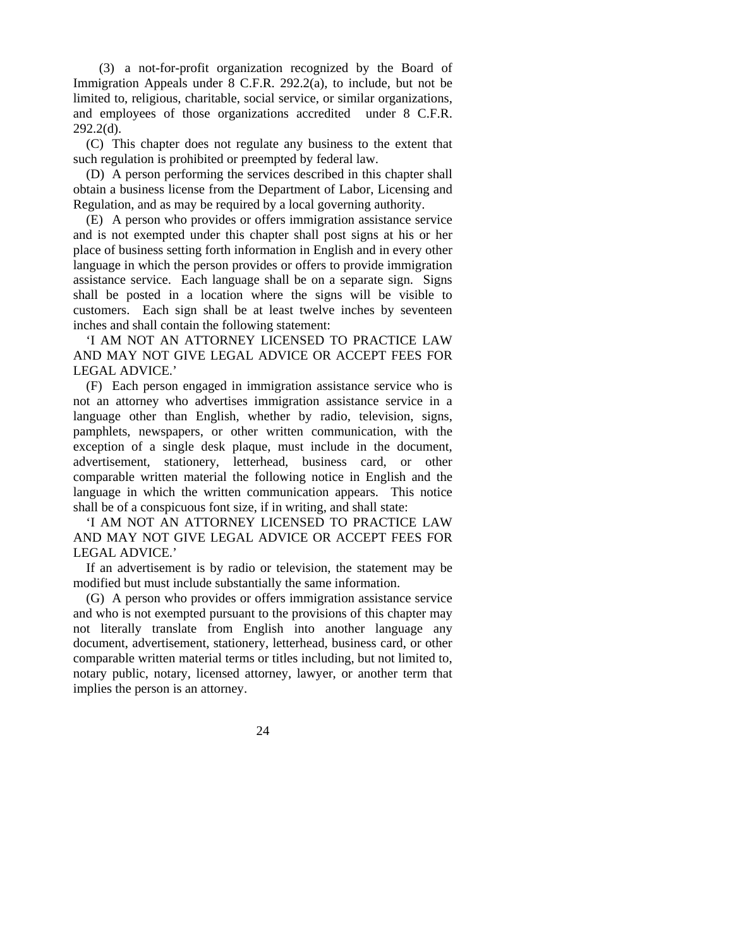(3) a not-for-profit organization recognized by the Board of Immigration Appeals under 8 C.F.R. 292.2(a), to include, but not be limited to, religious, charitable, social service, or similar organizations, and employees of those organizations accredited under 8 C.F.R.  $292.2(d)$ .

 (C) This chapter does not regulate any business to the extent that such regulation is prohibited or preempted by federal law.

 (D) A person performing the services described in this chapter shall obtain a business license from the Department of Labor, Licensing and Regulation, and as may be required by a local governing authority.

 (E) A person who provides or offers immigration assistance service and is not exempted under this chapter shall post signs at his or her place of business setting forth information in English and in every other language in which the person provides or offers to provide immigration assistance service. Each language shall be on a separate sign. Signs shall be posted in a location where the signs will be visible to customers. Each sign shall be at least twelve inches by seventeen inches and shall contain the following statement:

 'I AM NOT AN ATTORNEY LICENSED TO PRACTICE LAW AND MAY NOT GIVE LEGAL ADVICE OR ACCEPT FEES FOR LEGAL ADVICE.'

 (F) Each person engaged in immigration assistance service who is not an attorney who advertises immigration assistance service in a language other than English, whether by radio, television, signs, pamphlets, newspapers, or other written communication, with the exception of a single desk plaque, must include in the document, advertisement, stationery, letterhead, business card, or other comparable written material the following notice in English and the language in which the written communication appears. This notice shall be of a conspicuous font size, if in writing, and shall state:

 'I AM NOT AN ATTORNEY LICENSED TO PRACTICE LAW AND MAY NOT GIVE LEGAL ADVICE OR ACCEPT FEES FOR LEGAL ADVICE.'

 If an advertisement is by radio or television, the statement may be modified but must include substantially the same information.

 (G) A person who provides or offers immigration assistance service and who is not exempted pursuant to the provisions of this chapter may not literally translate from English into another language any document, advertisement, stationery, letterhead, business card, or other comparable written material terms or titles including, but not limited to, notary public, notary, licensed attorney, lawyer, or another term that implies the person is an attorney.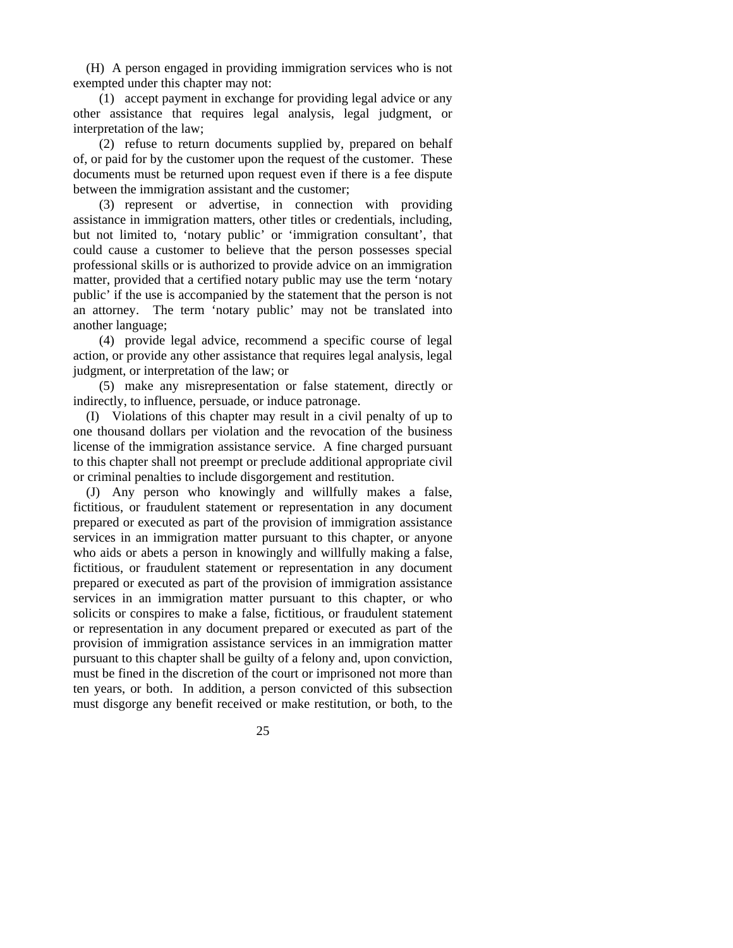(H) A person engaged in providing immigration services who is not exempted under this chapter may not:

 (1) accept payment in exchange for providing legal advice or any other assistance that requires legal analysis, legal judgment, or interpretation of the law;

 (2) refuse to return documents supplied by, prepared on behalf of, or paid for by the customer upon the request of the customer. These documents must be returned upon request even if there is a fee dispute between the immigration assistant and the customer;

 (3) represent or advertise, in connection with providing assistance in immigration matters, other titles or credentials, including, but not limited to, 'notary public' or 'immigration consultant', that could cause a customer to believe that the person possesses special professional skills or is authorized to provide advice on an immigration matter, provided that a certified notary public may use the term 'notary public' if the use is accompanied by the statement that the person is not an attorney. The term 'notary public' may not be translated into another language;

 (4) provide legal advice, recommend a specific course of legal action, or provide any other assistance that requires legal analysis, legal judgment, or interpretation of the law; or

 (5) make any misrepresentation or false statement, directly or indirectly, to influence, persuade, or induce patronage.

 (I) Violations of this chapter may result in a civil penalty of up to one thousand dollars per violation and the revocation of the business license of the immigration assistance service. A fine charged pursuant to this chapter shall not preempt or preclude additional appropriate civil or criminal penalties to include disgorgement and restitution.

 (J) Any person who knowingly and willfully makes a false, fictitious, or fraudulent statement or representation in any document prepared or executed as part of the provision of immigration assistance services in an immigration matter pursuant to this chapter, or anyone who aids or abets a person in knowingly and willfully making a false, fictitious, or fraudulent statement or representation in any document prepared or executed as part of the provision of immigration assistance services in an immigration matter pursuant to this chapter, or who solicits or conspires to make a false, fictitious, or fraudulent statement or representation in any document prepared or executed as part of the provision of immigration assistance services in an immigration matter pursuant to this chapter shall be guilty of a felony and, upon conviction, must be fined in the discretion of the court or imprisoned not more than ten years, or both. In addition, a person convicted of this subsection must disgorge any benefit received or make restitution, or both, to the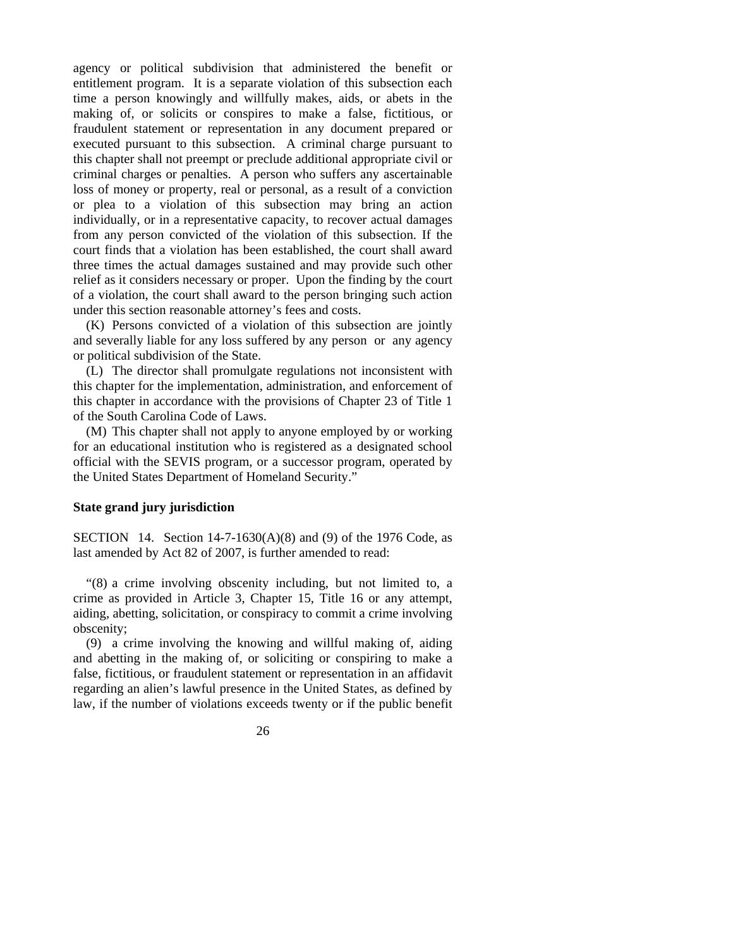agency or political subdivision that administered the benefit or entitlement program. It is a separate violation of this subsection each time a person knowingly and willfully makes, aids, or abets in the making of, or solicits or conspires to make a false, fictitious, or fraudulent statement or representation in any document prepared or executed pursuant to this subsection. A criminal charge pursuant to this chapter shall not preempt or preclude additional appropriate civil or criminal charges or penalties. A person who suffers any ascertainable loss of money or property, real or personal, as a result of a conviction or plea to a violation of this subsection may bring an action individually, or in a representative capacity, to recover actual damages from any person convicted of the violation of this subsection. If the court finds that a violation has been established, the court shall award three times the actual damages sustained and may provide such other relief as it considers necessary or proper. Upon the finding by the court of a violation, the court shall award to the person bringing such action under this section reasonable attorney's fees and costs.

 (K) Persons convicted of a violation of this subsection are jointly and severally liable for any loss suffered by any person or any agency or political subdivision of the State.

 (L) The director shall promulgate regulations not inconsistent with this chapter for the implementation, administration, and enforcement of this chapter in accordance with the provisions of Chapter 23 of Title 1 of the South Carolina Code of Laws.

 (M) This chapter shall not apply to anyone employed by or working for an educational institution who is registered as a designated school official with the SEVIS program, or a successor program, operated by the United States Department of Homeland Security."

# **State grand jury jurisdiction**

SECTION 14. Section  $14-7-1630(A)(8)$  and (9) of the 1976 Code, as last amended by Act 82 of 2007, is further amended to read:

 "(8) a crime involving obscenity including, but not limited to, a crime as provided in Article 3, Chapter 15, Title 16 or any attempt, aiding, abetting, solicitation, or conspiracy to commit a crime involving obscenity;

 (9) a crime involving the knowing and willful making of, aiding and abetting in the making of, or soliciting or conspiring to make a false, fictitious, or fraudulent statement or representation in an affidavit regarding an alien's lawful presence in the United States, as defined by law, if the number of violations exceeds twenty or if the public benefit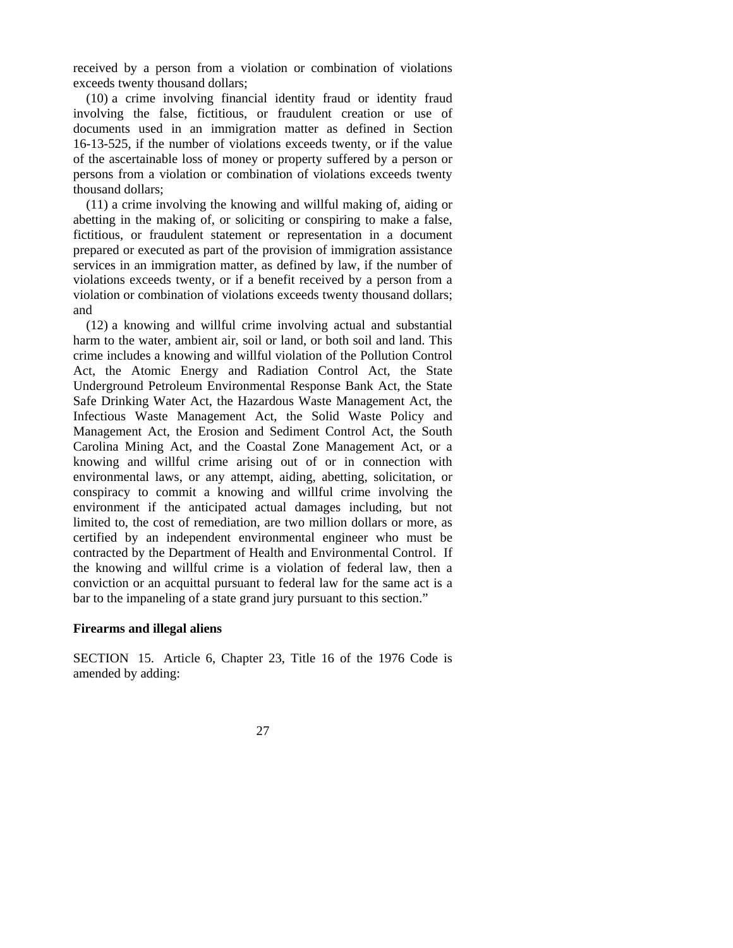received by a person from a violation or combination of violations exceeds twenty thousand dollars;

 (10) a crime involving financial identity fraud or identity fraud involving the false, fictitious, or fraudulent creation or use of documents used in an immigration matter as defined in Section 16-13-525, if the number of violations exceeds twenty, or if the value of the ascertainable loss of money or property suffered by a person or persons from a violation or combination of violations exceeds twenty thousand dollars;

 (11) a crime involving the knowing and willful making of, aiding or abetting in the making of, or soliciting or conspiring to make a false, fictitious, or fraudulent statement or representation in a document prepared or executed as part of the provision of immigration assistance services in an immigration matter, as defined by law, if the number of violations exceeds twenty, or if a benefit received by a person from a violation or combination of violations exceeds twenty thousand dollars; and

 (12) a knowing and willful crime involving actual and substantial harm to the water, ambient air, soil or land, or both soil and land. This crime includes a knowing and willful violation of the Pollution Control Act, the Atomic Energy and Radiation Control Act, the State Underground Petroleum Environmental Response Bank Act, the State Safe Drinking Water Act, the Hazardous Waste Management Act, the Infectious Waste Management Act, the Solid Waste Policy and Management Act, the Erosion and Sediment Control Act, the South Carolina Mining Act, and the Coastal Zone Management Act, or a knowing and willful crime arising out of or in connection with environmental laws, or any attempt, aiding, abetting, solicitation, or conspiracy to commit a knowing and willful crime involving the environment if the anticipated actual damages including, but not limited to, the cost of remediation, are two million dollars or more, as certified by an independent environmental engineer who must be contracted by the Department of Health and Environmental Control. If the knowing and willful crime is a violation of federal law, then a conviction or an acquittal pursuant to federal law for the same act is a bar to the impaneling of a state grand jury pursuant to this section."

## **Firearms and illegal aliens**

SECTION 15. Article 6, Chapter 23, Title 16 of the 1976 Code is amended by adding: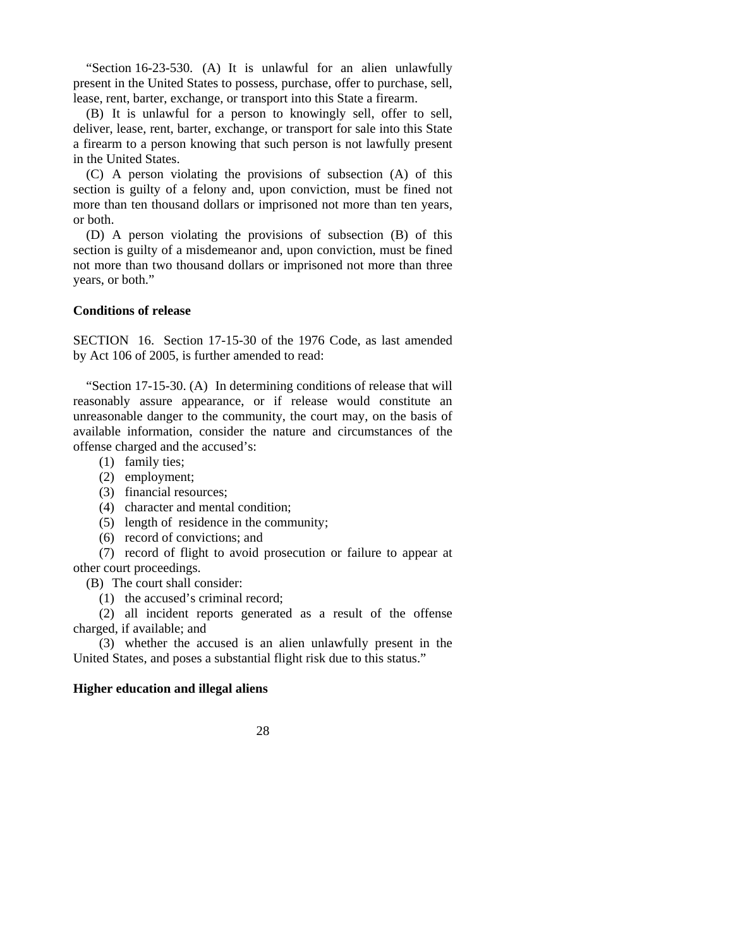"Section 16-23-530. (A) It is unlawful for an alien unlawfully present in the United States to possess, purchase, offer to purchase, sell, lease, rent, barter, exchange, or transport into this State a firearm.

 (B) It is unlawful for a person to knowingly sell, offer to sell, deliver, lease, rent, barter, exchange, or transport for sale into this State a firearm to a person knowing that such person is not lawfully present in the United States.

 (C) A person violating the provisions of subsection (A) of this section is guilty of a felony and, upon conviction, must be fined not more than ten thousand dollars or imprisoned not more than ten years, or both.

 (D) A person violating the provisions of subsection (B) of this section is guilty of a misdemeanor and, upon conviction, must be fined not more than two thousand dollars or imprisoned not more than three years, or both."

# **Conditions of release**

SECTION 16. Section 17-15-30 of the 1976 Code, as last amended by Act 106 of 2005, is further amended to read:

 "Section 17-15-30. (A) In determining conditions of release that will reasonably assure appearance, or if release would constitute an unreasonable danger to the community, the court may, on the basis of available information, consider the nature and circumstances of the offense charged and the accused's:

- (1) family ties;
- (2) employment;
- (3) financial resources;
- (4) character and mental condition;
- (5) length of residence in the community;
- (6) record of convictions; and

 (7) record of flight to avoid prosecution or failure to appear at other court proceedings.

(B) The court shall consider:

(1) the accused's criminal record;

 (2) all incident reports generated as a result of the offense charged, if available; and

 (3) whether the accused is an alien unlawfully present in the United States, and poses a substantial flight risk due to this status."

#### **Higher education and illegal aliens**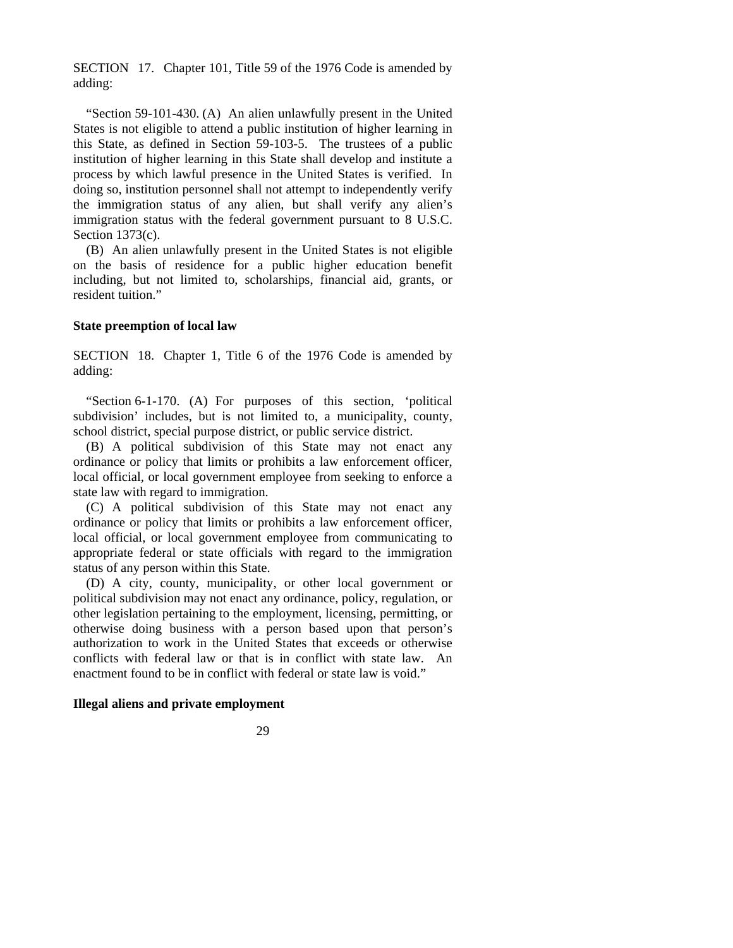SECTION 17. Chapter 101, Title 59 of the 1976 Code is amended by adding:

 "Section 59-101-430. (A) An alien unlawfully present in the United States is not eligible to attend a public institution of higher learning in this State, as defined in Section 59-103-5. The trustees of a public institution of higher learning in this State shall develop and institute a process by which lawful presence in the United States is verified. In doing so, institution personnel shall not attempt to independently verify the immigration status of any alien, but shall verify any alien's immigration status with the federal government pursuant to 8 U.S.C. Section 1373(c).

 (B) An alien unlawfully present in the United States is not eligible on the basis of residence for a public higher education benefit including, but not limited to, scholarships, financial aid, grants, or resident tuition."

#### **State preemption of local law**

SECTION 18. Chapter 1, Title 6 of the 1976 Code is amended by adding:

 "Section 6-1-170. (A) For purposes of this section, 'political subdivision' includes, but is not limited to, a municipality, county, school district, special purpose district, or public service district.

 (B) A political subdivision of this State may not enact any ordinance or policy that limits or prohibits a law enforcement officer, local official, or local government employee from seeking to enforce a state law with regard to immigration.

 (C) A political subdivision of this State may not enact any ordinance or policy that limits or prohibits a law enforcement officer, local official, or local government employee from communicating to appropriate federal or state officials with regard to the immigration status of any person within this State.

 (D) A city, county, municipality, or other local government or political subdivision may not enact any ordinance, policy, regulation, or other legislation pertaining to the employment, licensing, permitting, or otherwise doing business with a person based upon that person's authorization to work in the United States that exceeds or otherwise conflicts with federal law or that is in conflict with state law. An enactment found to be in conflict with federal or state law is void."

#### **Illegal aliens and private employment**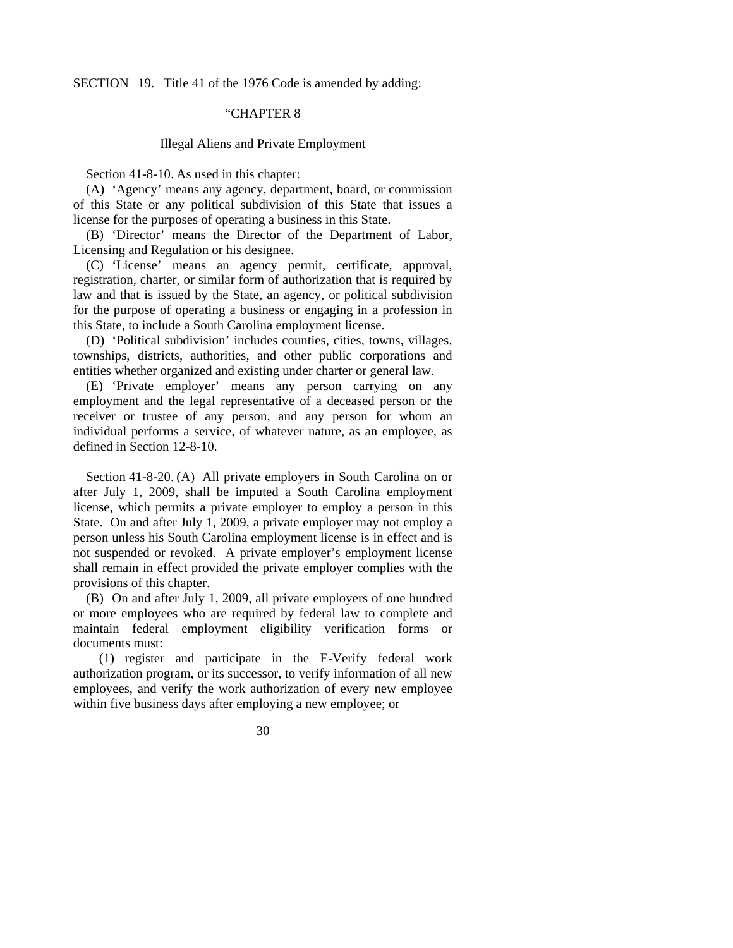SECTION 19. Title 41 of the 1976 Code is amended by adding:

# "CHAPTER 8

#### Illegal Aliens and Private Employment

Section 41-8-10. As used in this chapter:

 (A) 'Agency' means any agency, department, board, or commission of this State or any political subdivision of this State that issues a license for the purposes of operating a business in this State.

 (B) 'Director' means the Director of the Department of Labor, Licensing and Regulation or his designee.

 (C) 'License' means an agency permit, certificate, approval, registration, charter, or similar form of authorization that is required by law and that is issued by the State, an agency, or political subdivision for the purpose of operating a business or engaging in a profession in this State, to include a South Carolina employment license.

 (D) 'Political subdivision' includes counties, cities, towns, villages, townships, districts, authorities, and other public corporations and entities whether organized and existing under charter or general law.

 (E) 'Private employer' means any person carrying on any employment and the legal representative of a deceased person or the receiver or trustee of any person, and any person for whom an individual performs a service, of whatever nature, as an employee, as defined in Section 12-8-10.

 Section 41-8-20. (A) All private employers in South Carolina on or after July 1, 2009, shall be imputed a South Carolina employment license, which permits a private employer to employ a person in this State. On and after July 1, 2009, a private employer may not employ a person unless his South Carolina employment license is in effect and is not suspended or revoked. A private employer's employment license shall remain in effect provided the private employer complies with the provisions of this chapter.

 (B) On and after July 1, 2009, all private employers of one hundred or more employees who are required by federal law to complete and maintain federal employment eligibility verification forms or documents must:

 (1) register and participate in the E-Verify federal work authorization program, or its successor, to verify information of all new employees, and verify the work authorization of every new employee within five business days after employing a new employee; or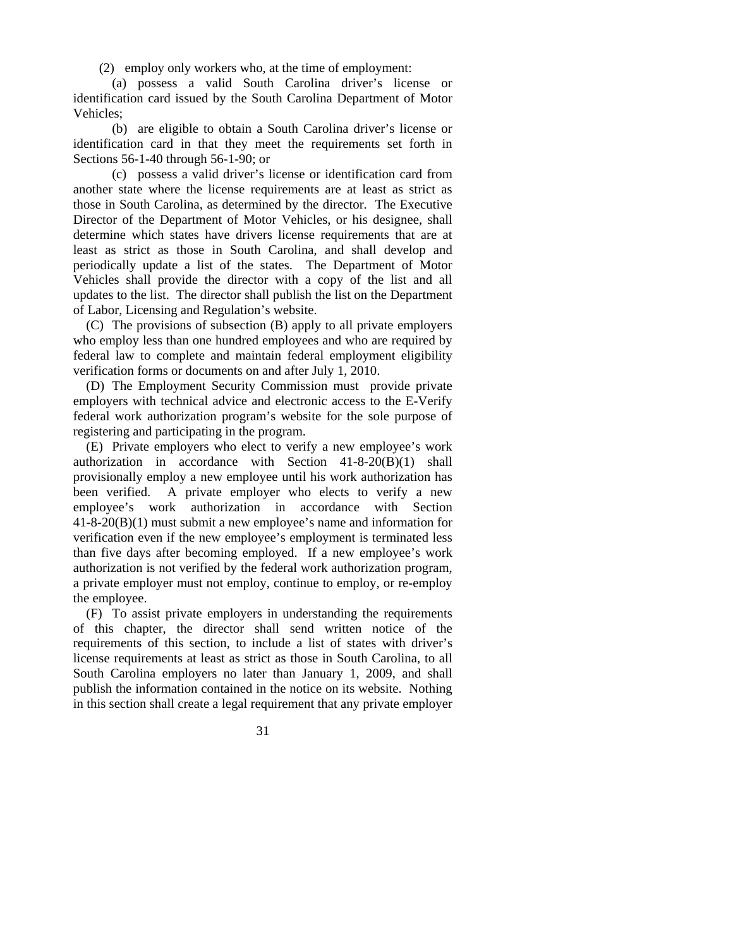(2) employ only workers who, at the time of employment:

 (a) possess a valid South Carolina driver's license or identification card issued by the South Carolina Department of Motor Vehicles;

 (b) are eligible to obtain a South Carolina driver's license or identification card in that they meet the requirements set forth in Sections 56-1-40 through 56-1-90; or

 (c) possess a valid driver's license or identification card from another state where the license requirements are at least as strict as those in South Carolina, as determined by the director. The Executive Director of the Department of Motor Vehicles, or his designee, shall determine which states have drivers license requirements that are at least as strict as those in South Carolina, and shall develop and periodically update a list of the states. The Department of Motor Vehicles shall provide the director with a copy of the list and all updates to the list. The director shall publish the list on the Department of Labor, Licensing and Regulation's website.

 (C) The provisions of subsection (B) apply to all private employers who employ less than one hundred employees and who are required by federal law to complete and maintain federal employment eligibility verification forms or documents on and after July 1, 2010.

 (D) The Employment Security Commission must provide private employers with technical advice and electronic access to the E-Verify federal work authorization program's website for the sole purpose of registering and participating in the program.

 (E) Private employers who elect to verify a new employee's work authorization in accordance with Section 41-8-20(B)(1) shall provisionally employ a new employee until his work authorization has been verified. A private employer who elects to verify a new employee's work authorization in accordance with Section 41-8-20(B)(1) must submit a new employee's name and information for verification even if the new employee's employment is terminated less than five days after becoming employed. If a new employee's work authorization is not verified by the federal work authorization program, a private employer must not employ, continue to employ, or re-employ the employee.

 (F) To assist private employers in understanding the requirements of this chapter, the director shall send written notice of the requirements of this section, to include a list of states with driver's license requirements at least as strict as those in South Carolina, to all South Carolina employers no later than January 1, 2009, and shall publish the information contained in the notice on its website. Nothing in this section shall create a legal requirement that any private employer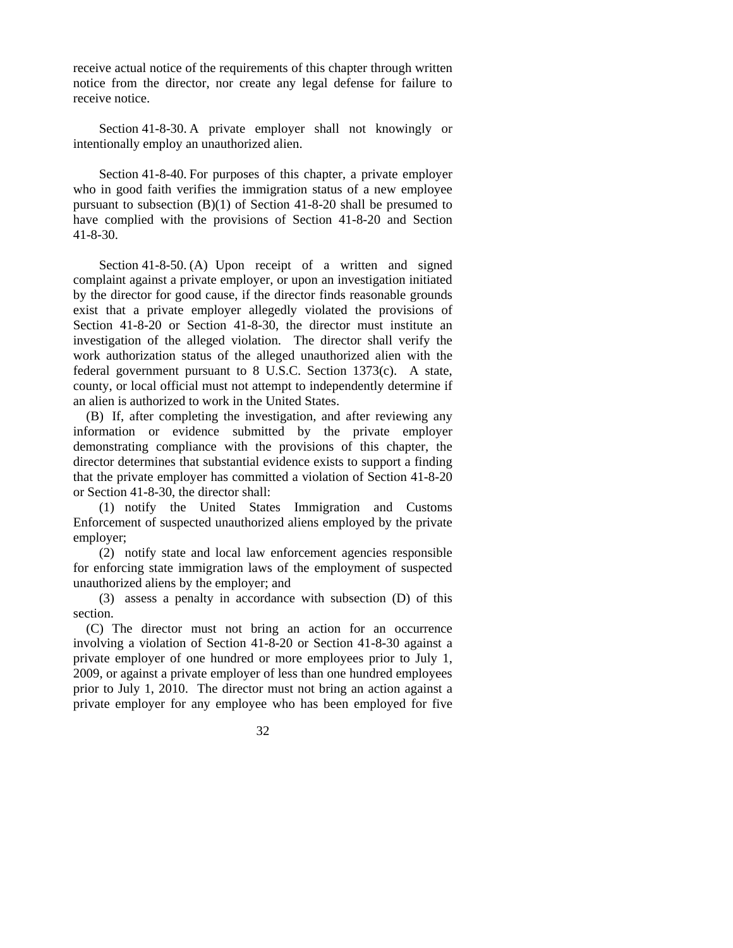receive actual notice of the requirements of this chapter through written notice from the director, nor create any legal defense for failure to receive notice.

 Section 41-8-30. A private employer shall not knowingly or intentionally employ an unauthorized alien.

 Section 41-8-40. For purposes of this chapter, a private employer who in good faith verifies the immigration status of a new employee pursuant to subsection (B)(1) of Section 41-8-20 shall be presumed to have complied with the provisions of Section 41-8-20 and Section 41-8-30.

Section 41-8-50. (A) Upon receipt of a written and signed complaint against a private employer, or upon an investigation initiated by the director for good cause, if the director finds reasonable grounds exist that a private employer allegedly violated the provisions of Section 41-8-20 or Section 41-8-30, the director must institute an investigation of the alleged violation. The director shall verify the work authorization status of the alleged unauthorized alien with the federal government pursuant to 8 U.S.C. Section 1373(c). A state, county, or local official must not attempt to independently determine if an alien is authorized to work in the United States.

 (B) If, after completing the investigation, and after reviewing any information or evidence submitted by the private employer demonstrating compliance with the provisions of this chapter, the director determines that substantial evidence exists to support a finding that the private employer has committed a violation of Section 41-8-20 or Section 41-8-30, the director shall:

 (1) notify the United States Immigration and Customs Enforcement of suspected unauthorized aliens employed by the private employer;

 (2) notify state and local law enforcement agencies responsible for enforcing state immigration laws of the employment of suspected unauthorized aliens by the employer; and

 (3) assess a penalty in accordance with subsection (D) of this section.

 (C) The director must not bring an action for an occurrence involving a violation of Section 41-8-20 or Section 41-8-30 against a private employer of one hundred or more employees prior to July 1, 2009, or against a private employer of less than one hundred employees prior to July 1, 2010. The director must not bring an action against a private employer for any employee who has been employed for five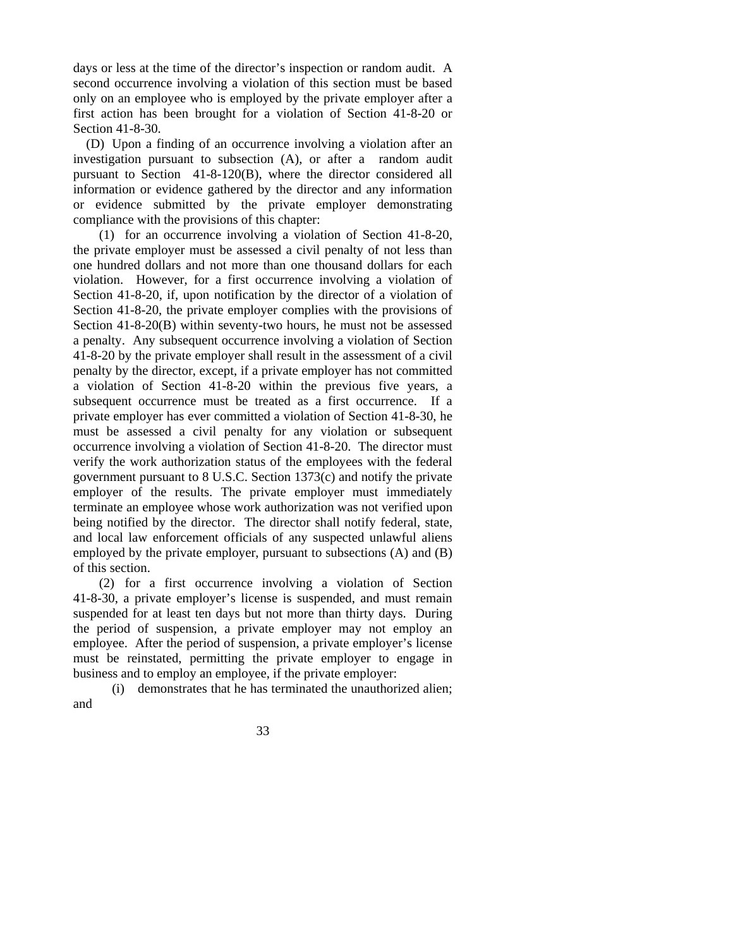days or less at the time of the director's inspection or random audit. A second occurrence involving a violation of this section must be based only on an employee who is employed by the private employer after a first action has been brought for a violation of Section 41-8-20 or Section 41-8-30.

 (D) Upon a finding of an occurrence involving a violation after an investigation pursuant to subsection (A), or after a random audit pursuant to Section 41-8-120(B), where the director considered all information or evidence gathered by the director and any information or evidence submitted by the private employer demonstrating compliance with the provisions of this chapter:

 (1) for an occurrence involving a violation of Section 41-8-20, the private employer must be assessed a civil penalty of not less than one hundred dollars and not more than one thousand dollars for each violation. However, for a first occurrence involving a violation of Section 41-8-20, if, upon notification by the director of a violation of Section 41-8-20, the private employer complies with the provisions of Section 41-8-20(B) within seventy-two hours, he must not be assessed a penalty. Any subsequent occurrence involving a violation of Section 41-8-20 by the private employer shall result in the assessment of a civil penalty by the director, except, if a private employer has not committed a violation of Section 41-8-20 within the previous five years, a subsequent occurrence must be treated as a first occurrence. If a private employer has ever committed a violation of Section 41-8-30, he must be assessed a civil penalty for any violation or subsequent occurrence involving a violation of Section 41-8-20. The director must verify the work authorization status of the employees with the federal government pursuant to 8 U.S.C. Section 1373(c) and notify the private employer of the results. The private employer must immediately terminate an employee whose work authorization was not verified upon being notified by the director. The director shall notify federal, state, and local law enforcement officials of any suspected unlawful aliens employed by the private employer, pursuant to subsections (A) and (B) of this section.

 (2) for a first occurrence involving a violation of Section 41-8-30, a private employer's license is suspended, and must remain suspended for at least ten days but not more than thirty days. During the period of suspension, a private employer may not employ an employee. After the period of suspension, a private employer's license must be reinstated, permitting the private employer to engage in business and to employ an employee, if the private employer:

 (i) demonstrates that he has terminated the unauthorized alien; and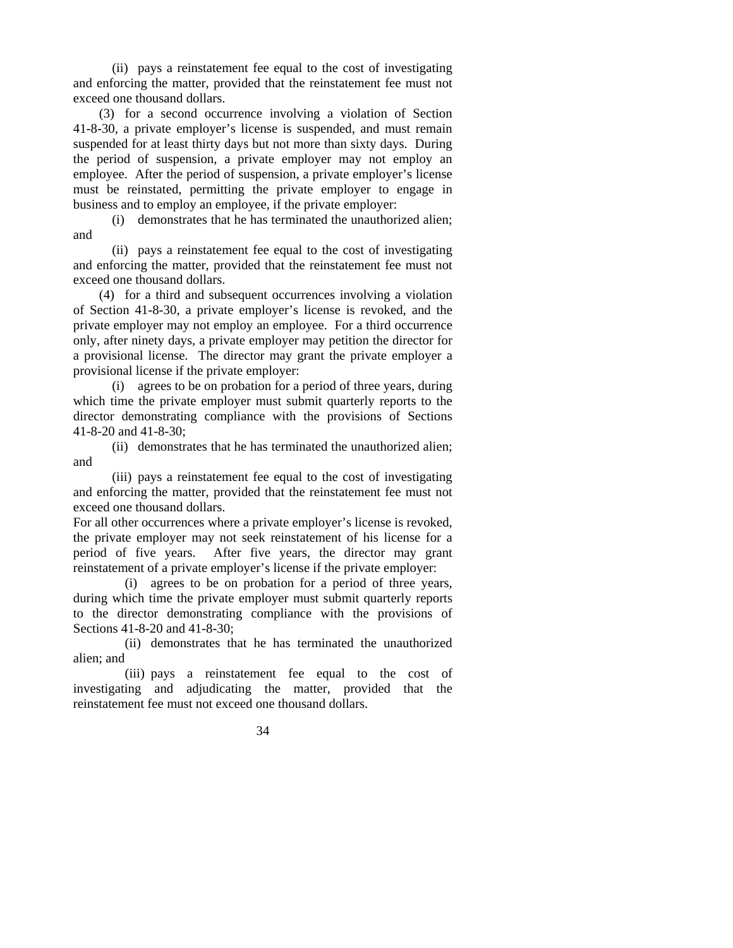(ii) pays a reinstatement fee equal to the cost of investigating and enforcing the matter, provided that the reinstatement fee must not exceed one thousand dollars.

 (3) for a second occurrence involving a violation of Section 41-8-30, a private employer's license is suspended, and must remain suspended for at least thirty days but not more than sixty days. During the period of suspension, a private employer may not employ an employee. After the period of suspension, a private employer's license must be reinstated, permitting the private employer to engage in business and to employ an employee, if the private employer:

 (i) demonstrates that he has terminated the unauthorized alien; and

 (ii) pays a reinstatement fee equal to the cost of investigating and enforcing the matter, provided that the reinstatement fee must not exceed one thousand dollars.

 (4) for a third and subsequent occurrences involving a violation of Section 41-8-30, a private employer's license is revoked, and the private employer may not employ an employee. For a third occurrence only, after ninety days, a private employer may petition the director for a provisional license. The director may grant the private employer a provisional license if the private employer:

 (i) agrees to be on probation for a period of three years, during which time the private employer must submit quarterly reports to the director demonstrating compliance with the provisions of Sections 41-8-20 and 41-8-30;

 (ii) demonstrates that he has terminated the unauthorized alien; and

 (iii) pays a reinstatement fee equal to the cost of investigating and enforcing the matter, provided that the reinstatement fee must not exceed one thousand dollars.

For all other occurrences where a private employer's license is revoked, the private employer may not seek reinstatement of his license for a period of five years. After five years, the director may grant reinstatement of a private employer's license if the private employer:

 (i) agrees to be on probation for a period of three years, during which time the private employer must submit quarterly reports to the director demonstrating compliance with the provisions of Sections 41-8-20 and 41-8-30;

 (ii) demonstrates that he has terminated the unauthorized alien; and

 (iii) pays a reinstatement fee equal to the cost of investigating and adjudicating the matter, provided that the reinstatement fee must not exceed one thousand dollars.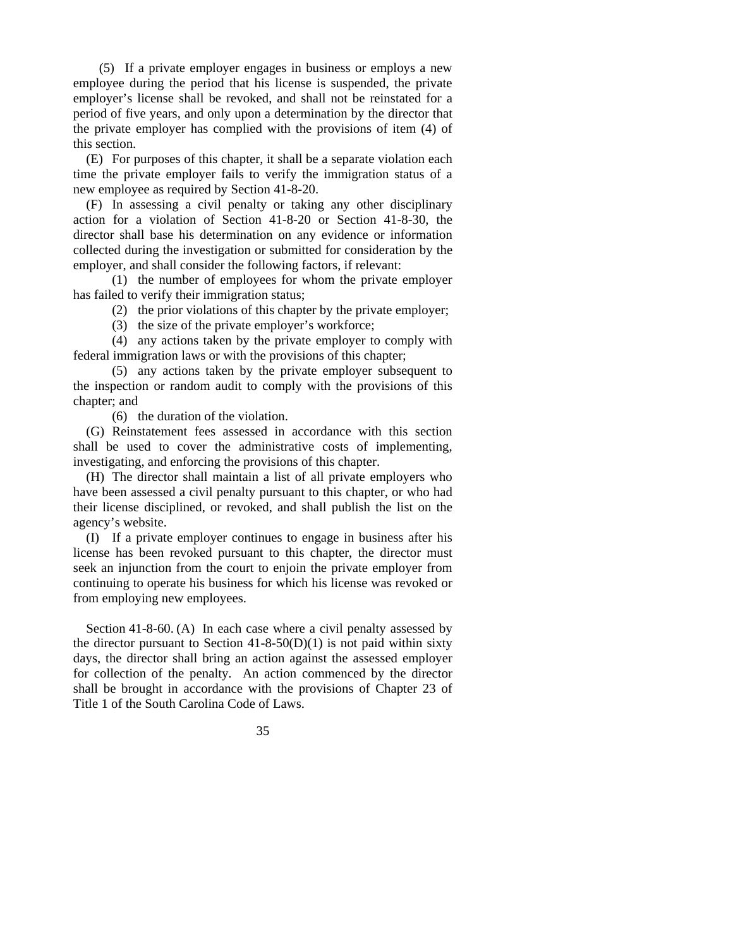(5) If a private employer engages in business or employs a new employee during the period that his license is suspended, the private employer's license shall be revoked, and shall not be reinstated for a period of five years, and only upon a determination by the director that the private employer has complied with the provisions of item (4) of this section.

 (E) For purposes of this chapter, it shall be a separate violation each time the private employer fails to verify the immigration status of a new employee as required by Section 41-8-20.

 (F) In assessing a civil penalty or taking any other disciplinary action for a violation of Section 41-8-20 or Section 41-8-30, the director shall base his determination on any evidence or information collected during the investigation or submitted for consideration by the employer, and shall consider the following factors, if relevant:

 (1) the number of employees for whom the private employer has failed to verify their immigration status;

(2) the prior violations of this chapter by the private employer;

(3) the size of the private employer's workforce;

 (4) any actions taken by the private employer to comply with federal immigration laws or with the provisions of this chapter;

 (5) any actions taken by the private employer subsequent to the inspection or random audit to comply with the provisions of this chapter; and

(6) the duration of the violation.

 (G) Reinstatement fees assessed in accordance with this section shall be used to cover the administrative costs of implementing, investigating, and enforcing the provisions of this chapter.

 (H) The director shall maintain a list of all private employers who have been assessed a civil penalty pursuant to this chapter, or who had their license disciplined, or revoked, and shall publish the list on the agency's website.

 (I) If a private employer continues to engage in business after his license has been revoked pursuant to this chapter, the director must seek an injunction from the court to enjoin the private employer from continuing to operate his business for which his license was revoked or from employing new employees.

 Section 41-8-60. (A) In each case where a civil penalty assessed by the director pursuant to Section  $41-8-50(D)(1)$  is not paid within sixty days, the director shall bring an action against the assessed employer for collection of the penalty. An action commenced by the director shall be brought in accordance with the provisions of Chapter 23 of Title 1 of the South Carolina Code of Laws.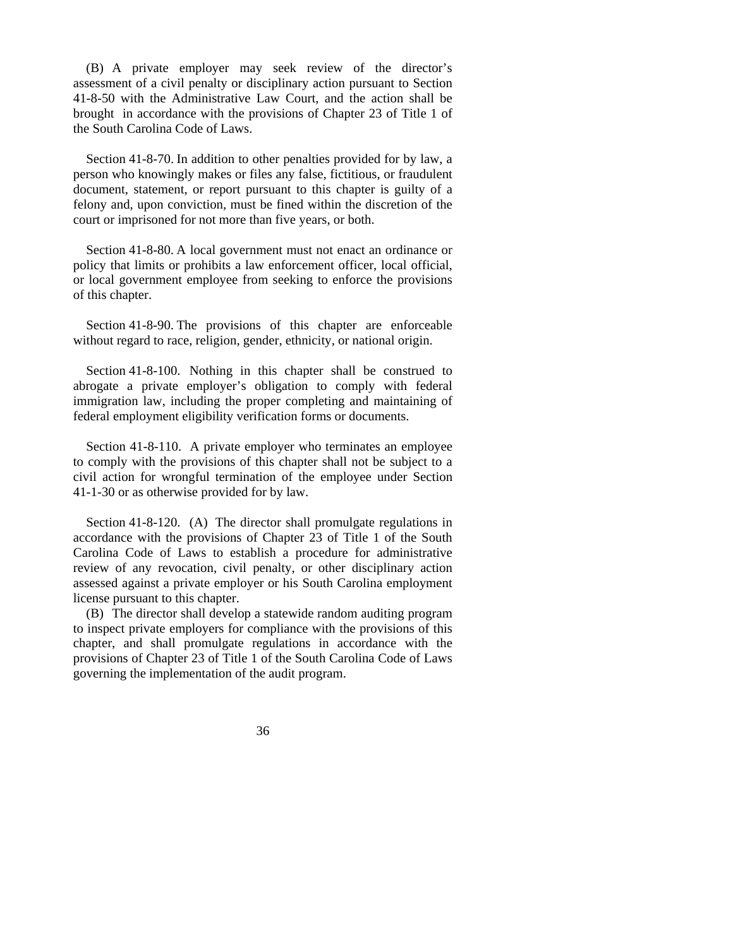(B) A private employer may seek review of the director's assessment of a civil penalty or disciplinary action pursuant to Section 41-8-50 with the Administrative Law Court, and the action shall be brought in accordance with the provisions of Chapter 23 of Title 1 of the South Carolina Code of Laws.

 Section 41-8-70. In addition to other penalties provided for by law, a person who knowingly makes or files any false, fictitious, or fraudulent document, statement, or report pursuant to this chapter is guilty of a felony and, upon conviction, must be fined within the discretion of the court or imprisoned for not more than five years, or both.

 Section 41-8-80. A local government must not enact an ordinance or policy that limits or prohibits a law enforcement officer, local official, or local government employee from seeking to enforce the provisions of this chapter.

 Section 41-8-90. The provisions of this chapter are enforceable without regard to race, religion, gender, ethnicity, or national origin.

 Section 41-8-100. Nothing in this chapter shall be construed to abrogate a private employer's obligation to comply with federal immigration law, including the proper completing and maintaining of federal employment eligibility verification forms or documents.

Section 41-8-110. A private employer who terminates an employee to comply with the provisions of this chapter shall not be subject to a civil action for wrongful termination of the employee under Section 41-1-30 or as otherwise provided for by law.

 Section 41-8-120. (A) The director shall promulgate regulations in accordance with the provisions of Chapter 23 of Title 1 of the South Carolina Code of Laws to establish a procedure for administrative review of any revocation, civil penalty, or other disciplinary action assessed against a private employer or his South Carolina employment license pursuant to this chapter.

 (B) The director shall develop a statewide random auditing program to inspect private employers for compliance with the provisions of this chapter, and shall promulgate regulations in accordance with the provisions of Chapter 23 of Title 1 of the South Carolina Code of Laws governing the implementation of the audit program.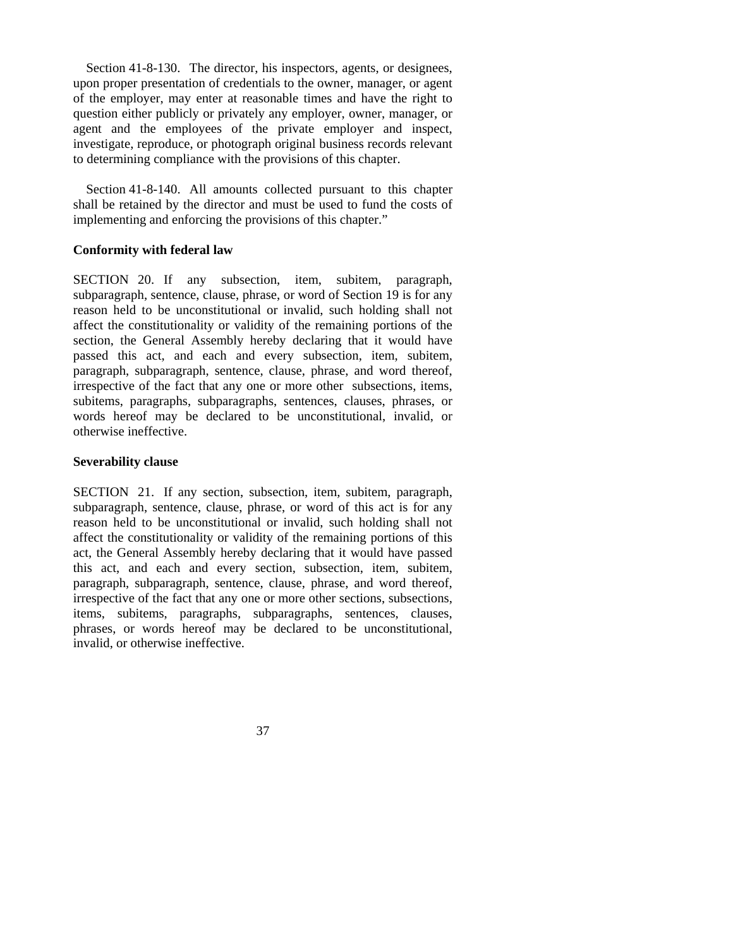Section 41-8-130. The director, his inspectors, agents, or designees, upon proper presentation of credentials to the owner, manager, or agent of the employer, may enter at reasonable times and have the right to question either publicly or privately any employer, owner, manager, or agent and the employees of the private employer and inspect, investigate, reproduce, or photograph original business records relevant to determining compliance with the provisions of this chapter.

 Section 41-8-140. All amounts collected pursuant to this chapter shall be retained by the director and must be used to fund the costs of implementing and enforcing the provisions of this chapter."

### **Conformity with federal law**

SECTION 20. If any subsection, item, subitem, paragraph, subparagraph, sentence, clause, phrase, or word of Section 19 is for any reason held to be unconstitutional or invalid, such holding shall not affect the constitutionality or validity of the remaining portions of the section, the General Assembly hereby declaring that it would have passed this act, and each and every subsection, item, subitem, paragraph, subparagraph, sentence, clause, phrase, and word thereof, irrespective of the fact that any one or more other subsections, items, subitems, paragraphs, subparagraphs, sentences, clauses, phrases, or words hereof may be declared to be unconstitutional, invalid, or otherwise ineffective.

#### **Severability clause**

SECTION 21. If any section, subsection, item, subitem, paragraph, subparagraph, sentence, clause, phrase, or word of this act is for any reason held to be unconstitutional or invalid, such holding shall not affect the constitutionality or validity of the remaining portions of this act, the General Assembly hereby declaring that it would have passed this act, and each and every section, subsection, item, subitem, paragraph, subparagraph, sentence, clause, phrase, and word thereof, irrespective of the fact that any one or more other sections, subsections, items, subitems, paragraphs, subparagraphs, sentences, clauses, phrases, or words hereof may be declared to be unconstitutional, invalid, or otherwise ineffective.